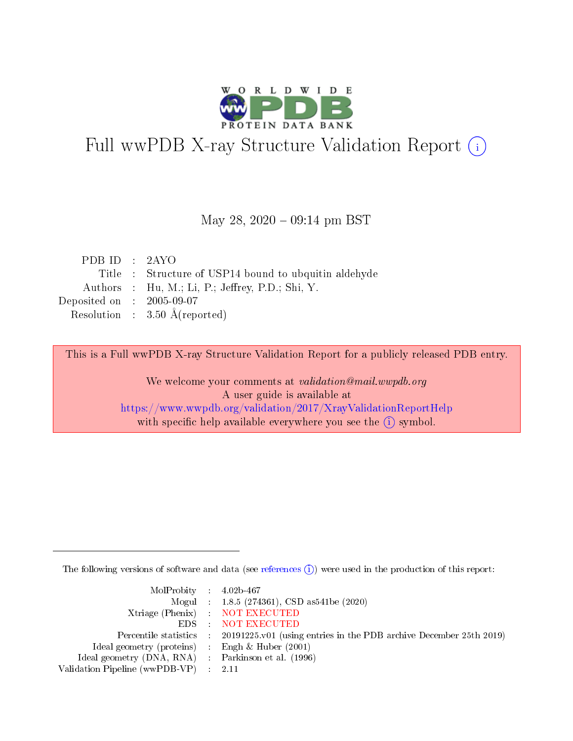

# Full wwPDB X-ray Structure Validation Report (i)

#### May 28,  $2020 - 09:14$  pm BST

| PDB ID : $2AYO$             |                                                      |
|-----------------------------|------------------------------------------------------|
|                             | Title: Structure of USP14 bound to ubquitin aldehyde |
|                             | Authors : Hu, M.; Li, P.; Jeffrey, P.D.; Shi, Y.     |
| Deposited on : $2005-09-07$ |                                                      |
|                             | Resolution : $3.50 \text{ Å}$ (reported)             |
|                             |                                                      |

This is a Full wwPDB X-ray Structure Validation Report for a publicly released PDB entry.

We welcome your comments at validation@mail.wwpdb.org A user guide is available at <https://www.wwpdb.org/validation/2017/XrayValidationReportHelp> with specific help available everywhere you see the  $(i)$  symbol.

The following versions of software and data (see [references](https://www.wwpdb.org/validation/2017/XrayValidationReportHelp#references)  $(i)$ ) were used in the production of this report:

| $MolProbability$ 4.02b-467                          |                                                                                            |
|-----------------------------------------------------|--------------------------------------------------------------------------------------------|
|                                                     | Mogul : $1.8.5$ (274361), CSD as 541be (2020)                                              |
|                                                     | Xtriage (Phenix) NOT EXECUTED                                                              |
|                                                     | EDS NOT EXECUTED                                                                           |
|                                                     | Percentile statistics : 20191225.v01 (using entries in the PDB archive December 25th 2019) |
| Ideal geometry (proteins) :                         | Engh & Huber $(2001)$                                                                      |
| Ideal geometry (DNA, RNA) : Parkinson et al. (1996) |                                                                                            |
| Validation Pipeline (wwPDB-VP)                      | - 2.11                                                                                     |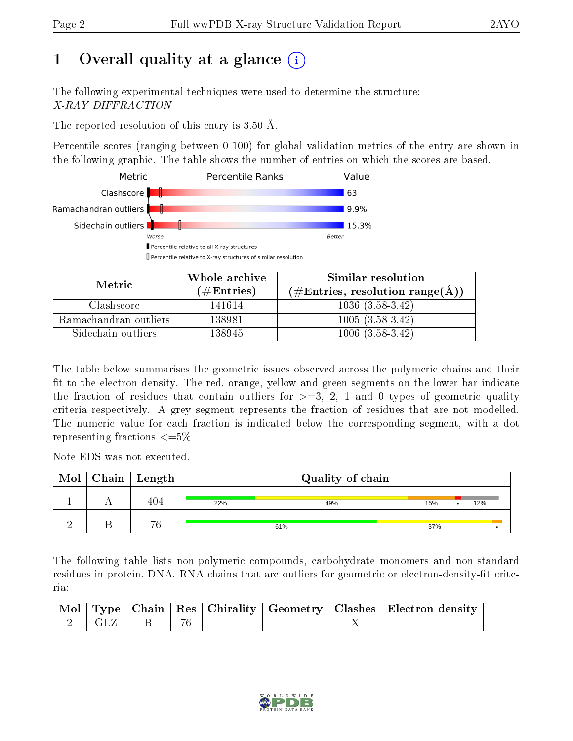# 1 [O](https://www.wwpdb.org/validation/2017/XrayValidationReportHelp#overall_quality)verall quality at a glance (i)

The following experimental techniques were used to determine the structure: X-RAY DIFFRACTION

The reported resolution of this entry is  $3.50 \text{ Å}.$ 

Percentile scores (ranging between 0-100) for global validation metrics of the entry are shown in the following graphic. The table shows the number of entries on which the scores are based.



| Metric                | Whole archive       | Similar resolution                                 |
|-----------------------|---------------------|----------------------------------------------------|
|                       | (# $\rm{Entries}$ ) | $(\text{\#Entries, resolution range}(\text{\AA}))$ |
| Clashscore            | 141614              | $1036(3.58-3.42)$                                  |
| Ramachandran outliers | 138981              | $1005(3.58-3.42)$                                  |
| Sidechain outliers    | 138945              | $1006(3.58-3.42)$                                  |

The table below summarises the geometric issues observed across the polymeric chains and their fit to the electron density. The red, orange, yellow and green segments on the lower bar indicate the fraction of residues that contain outliers for  $\geq=3$ , 2, 1 and 0 types of geometric quality criteria respectively. A grey segment represents the fraction of residues that are not modelled. The numeric value for each fraction is indicated below the corresponding segment, with a dot representing fractions  $\epsilon = 5\%$ 

Note EDS was not executed.

| Mol | Chain   Length $\vert$ |     | Quality of chain |     |     |  |
|-----|------------------------|-----|------------------|-----|-----|--|
|     | 404                    | 22% | 49%              | 15% | 12% |  |
|     | 76                     |     | 61%              | 37% |     |  |

The following table lists non-polymeric compounds, carbohydrate monomers and non-standard residues in protein, DNA, RNA chains that are outliers for geometric or electron-density-fit criteria:

|  |                  |  |  | Mol   Type   Chain   Res   Chirality   Geometry   Clashes   Electron density |
|--|------------------|--|--|------------------------------------------------------------------------------|
|  | 2   GLZ   B   76 |  |  |                                                                              |

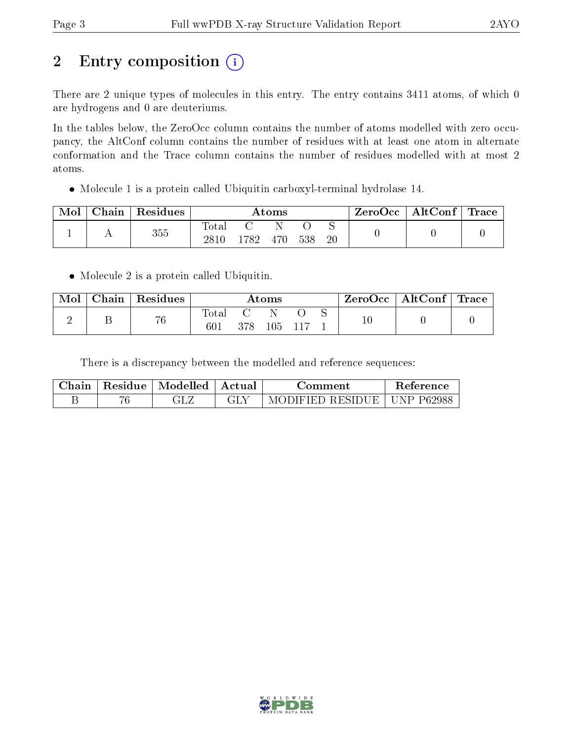# 2 Entry composition (i)

There are 2 unique types of molecules in this entry. The entry contains 3411 atoms, of which 0 are hydrogens and 0 are deuteriums.

In the tables below, the ZeroOcc column contains the number of atoms modelled with zero occupancy, the AltConf column contains the number of residues with at least one atom in alternate conformation and the Trace column contains the number of residues modelled with at most 2 atoms.

Molecule 1 is a protein called Ubiquitin carboxyl-terminal hydrolase 14.

| Mol | Chain | Residues | $\rm{Atoms}$      |     |     |     |    | ZeroOcc | $\mid$ AltConf $\mid$ Trace |  |
|-----|-------|----------|-------------------|-----|-----|-----|----|---------|-----------------------------|--|
|     |       | 355      | Total<br>$2810\,$ | 782 | 470 | 538 | 20 |         |                             |  |

• Molecule 2 is a protein called Ubiquitin.

| Mol | $\cap$ hain | $\mathop{\mathsf{Residues}}$ | Atoms        |     |     |  |  | ZeroOcc   AltConf   Trace |  |
|-----|-------------|------------------------------|--------------|-----|-----|--|--|---------------------------|--|
|     |             | 76                           | Total<br>601 | 378 | 105 |  |  |                           |  |

There is a discrepancy between the modelled and reference sequences:

| Chain | Residue | :   Modelled   Actual | √amment∍                      | Reference |
|-------|---------|-----------------------|-------------------------------|-----------|
|       |         |                       | MODIFIED RESIDUE   UNP P62988 |           |

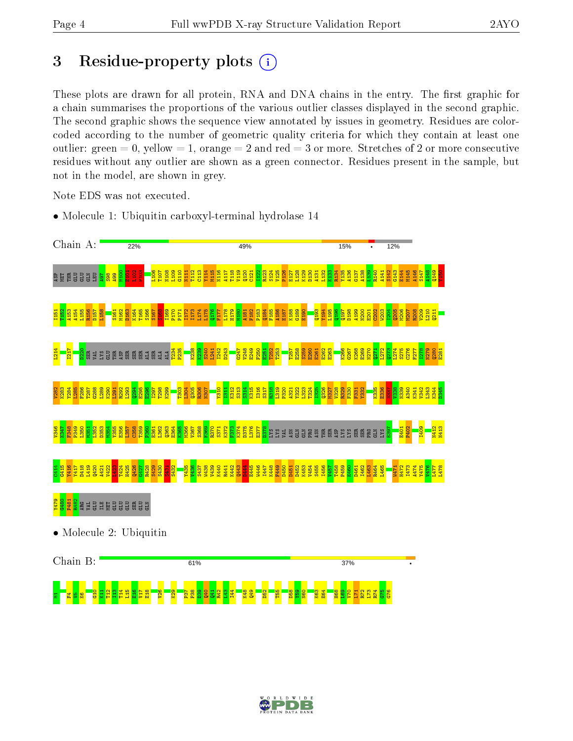## 3 Residue-property plots  $(i)$

These plots are drawn for all protein, RNA and DNA chains in the entry. The first graphic for a chain summarises the proportions of the various outlier classes displayed in the second graphic. The second graphic shows the sequence view annotated by issues in geometry. Residues are colorcoded according to the number of geometric quality criteria for which they contain at least one outlier: green  $= 0$ , yellow  $= 1$ , orange  $= 2$  and red  $= 3$  or more. Stretches of 2 or more consecutive residues without any outlier are shown as a green connector. Residues present in the sample, but not in the model, are shown in grey.

Note EDS was not executed.

• Molecule 1: Ubiquitin carboxyl-terminal hydrolase 14



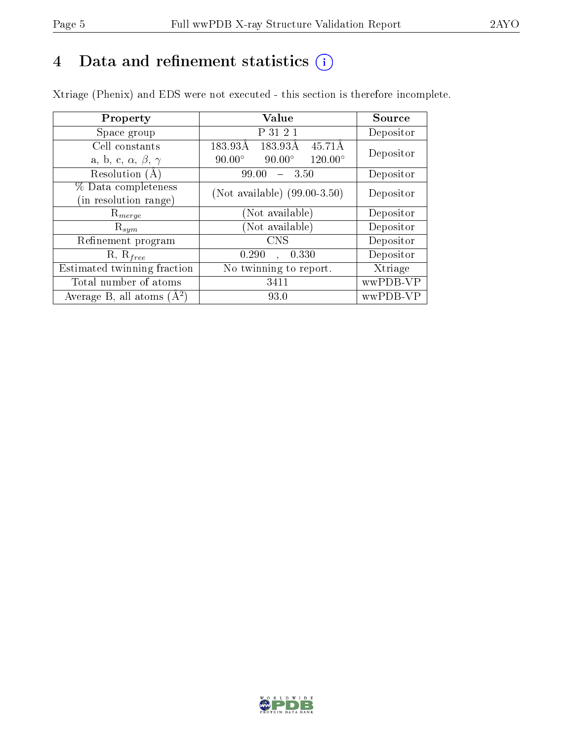## 4 Data and refinement statistics  $(i)$

Xtriage (Phenix) and EDS were not executed - this section is therefore incomplete.

| Property                               | <b>Value</b>                                       | Source    |  |
|----------------------------------------|----------------------------------------------------|-----------|--|
| Space group                            | P 31 2 1                                           | Depositor |  |
| Cell constants                         | 183.93Å<br>45.71Å<br>183.93Å                       | Depositor |  |
| a, b, c, $\alpha$ , $\beta$ , $\gamma$ | $90.00^\circ$<br>$120.00^{\circ}$<br>$90.00^\circ$ |           |  |
| Resolution $(A)$                       | 99.00<br>- 3.50                                    | Depositor |  |
| % Data completeness                    | (Not available) $(99.00-3.50)$                     | Depositor |  |
| (in resolution range)                  |                                                    |           |  |
| $\mathrm{R}_{merge}$                   | (Not available)                                    | Depositor |  |
| $\mathrm{R}_{sym}$                     | (Not available)                                    | Depositor |  |
| Refinement program                     | <b>CNS</b>                                         | Depositor |  |
| $R, R_{free}$                          | 0.290<br>0.330                                     | Depositor |  |
| Estimated twinning fraction            | $\overline{\text{No}}$ twinning to report.         | Xtriage   |  |
| Total number of atoms                  | 3411                                               | wwPDB-VP  |  |
| Average B, all atoms $(A^2)$           | 93.0                                               | wwPDB-VP  |  |

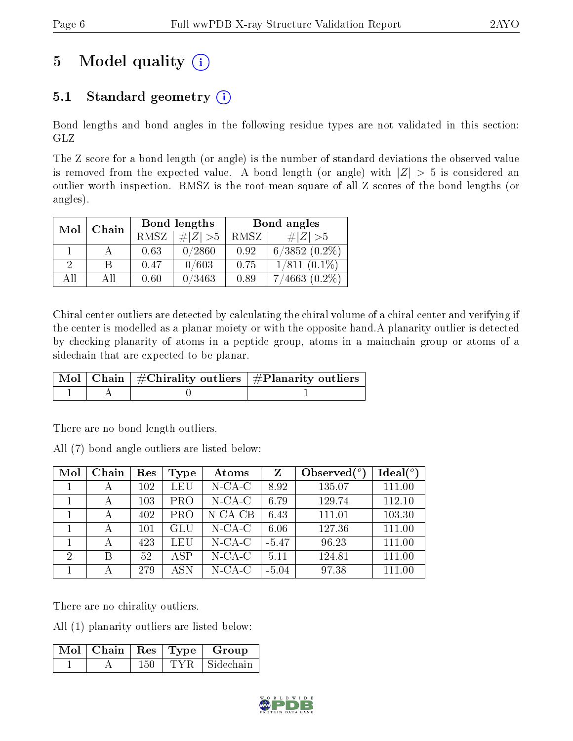# 5 Model quality  $(i)$

### 5.1 Standard geometry  $(i)$

Bond lengths and bond angles in the following residue types are not validated in this section: GLZ

The Z score for a bond length (or angle) is the number of standard deviations the observed value is removed from the expected value. A bond length (or angle) with  $|Z| > 5$  is considered an outlier worth inspection. RMSZ is the root-mean-square of all Z scores of the bond lengths (or angles).

| Mol                         | Chain |      | Bond lengths | Bond angles |                   |  |
|-----------------------------|-------|------|--------------|-------------|-------------------|--|
|                             |       | RMSZ | $\ Z\  > 5$  | RMSZ        | $\# Z >5$         |  |
|                             |       | 0.63 | 0/2860       | 0.92        | $6/3852(0.2\%)$   |  |
| $\mathcal{D}_{\mathcal{L}}$ | B     | 0.47 | 0/603        | 0.75        | $1/811$ $(0.1\%)$ |  |
| ΑH                          | АH    | 0.60 | 0/3463       | 0.89        | $7/4663(0.2\%)$   |  |

Chiral center outliers are detected by calculating the chiral volume of a chiral center and verifying if the center is modelled as a planar moiety or with the opposite hand.A planarity outlier is detected by checking planarity of atoms in a peptide group, atoms in a mainchain group or atoms of a sidechain that are expected to be planar.

|  | $\mid$ Mol $\mid$ Chain $\mid$ #Chirality outliers $\mid$ #Planarity outliers $'$ |
|--|-----------------------------------------------------------------------------------|
|  |                                                                                   |

There are no bond length outliers.

All (7) bond angle outliers are listed below:

| Mol            | Chain | Res | Type       | Atoms      | Z       | Observed $(°)$ | Ideal $(°)$ |
|----------------|-------|-----|------------|------------|---------|----------------|-------------|
|                |       | 102 | LEU        | $N$ -CA-C  | 8.92    | 135.07         | 111.00      |
|                | А     | 103 | <b>PRO</b> | $N$ -CA-C  | 6.79    | 129.74         | 112.10      |
|                |       | 402 | <b>PRO</b> | $N$ -CA-CB | 6.43    | 111.01         | 103.30      |
|                |       | 101 | GLU        | $N$ -CA-C  | 6.06    | 127.36         | 111.00      |
|                |       | 423 | LEU        | $N$ -CA-C  | $-5.47$ | 96.23          | 111.00      |
| $\overline{2}$ | В     | 52  | <b>ASP</b> | $N$ -CA-C  | 5.11    | 124.81         | 111.00      |
|                |       | 279 | A SN       | $N$ -CA-C  | $-5.04$ | 97.38          | 111.00      |

There are no chirality outliers.

All (1) planarity outliers are listed below:

| $\lceil\,\overline{\mathrm{M}}\mathrm{o}\mathrm{l}\,\,\rceil$ Chain $\lceil\,\mathrm{Res}\rceil$ Type $\lceil\,\mathrm{M}\rceil$ |     |       | Group     |
|----------------------------------------------------------------------------------------------------------------------------------|-----|-------|-----------|
|                                                                                                                                  | 150 | TYR – | Sidechain |

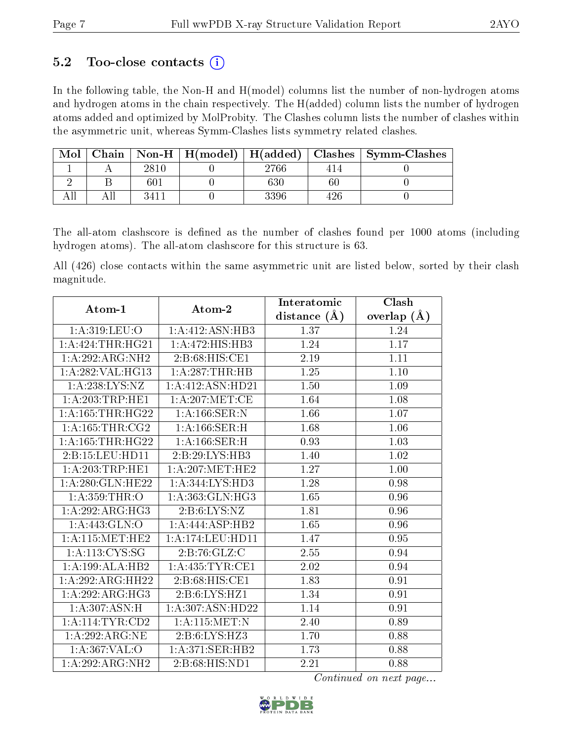### 5.2 Too-close contacts  $(i)$

In the following table, the Non-H and H(model) columns list the number of non-hydrogen atoms and hydrogen atoms in the chain respectively. The H(added) column lists the number of hydrogen atoms added and optimized by MolProbity. The Clashes column lists the number of clashes within the asymmetric unit, whereas Symm-Clashes lists symmetry related clashes.

| Mol | Chain |                  |      |     | $\vert$ Non-H $\vert$ H(model) $\vert$ H(added) $\vert$ Clashes $\vert$ Symm-Clashes |
|-----|-------|------------------|------|-----|--------------------------------------------------------------------------------------|
|     |       | 2810             | 2766 | 414 |                                                                                      |
|     |       | 601              | 630  |     |                                                                                      |
|     |       | 341 <sub>1</sub> | 3396 |     |                                                                                      |

The all-atom clashscore is defined as the number of clashes found per 1000 atoms (including hydrogen atoms). The all-atom clashscore for this structure is 63.

All (426) close contacts within the same asymmetric unit are listed below, sorted by their clash magnitude.

| Atom-1               | $A$ tom- $2$        | Interatomic      | Clash         |
|----------------------|---------------------|------------------|---------------|
|                      |                     | distance $(\AA)$ | overlap $(A)$ |
| 1:A:319:LEU:O        | 1:A:412:ASN:HB3     | 1.37             | 1.24          |
| 1:A:424:THR:HG21     | 1:A:472:HIS:HB3     | 1.24             | 1.17          |
| 1:A:292:ARG:NH2      | 2: B:68: HIS: CE1   | 2.19             | 1.11          |
| 1:A:282:VAL:HG13     | 1: A:287:THR:HB     | 1.25             | $1.10\,$      |
| 1:A:238:LYS:NZ       | 1:A:412:ASN:HD21    | 1.50             | 1.09          |
| 1: A:203:TRP:HE1     | 1: A:207: MET:CE    | 1.64             | 1.08          |
| 1: A: 165: THR: HG22 | 1: A: 166: SER: N   | 1.66             | 1.07          |
| 1: A: 165: THE: CG2  | 1:A:166:SER:H       | 1.68             | 1.06          |
| 1: A: 165: THR: HG22 | 1: A: 166: SER:H    | 0.93             | 1.03          |
| 2:B:15:LEU:HD11      | 2:B:29:LYS:HB3      | 1.40             | 1.02          |
| 1: A:203:TRP:HE1     | 1: A:207: MET:HE2   | 1.27             | 1.00          |
| 1:A:280:GLN:HE22     | 1: A:344: LYS: HD3  | 1.28             | 0.98          |
| 1: A: 359: THR:O     | 1:A:363:GLN:HG3     | 1.65             | 0.96          |
| 1:A:292:ARG:HG3      | 2: B:6: LYS: NZ     | 1.81             | 0.96          |
| 1:A:443:GLN:O        | 1:A:444:ASP:HB2     | 1.65             | 0.96          |
| 1: A:115: MET:HE2    | 1:A:174:LEU:HD11    | 1.47             | 0.95          |
| 1: A: 113: CYS: SG   | 2:B:76:GLZ:C        | 2.55             | 0.94          |
| 1:A:199:ALA:HB2      | 1: A: 435: TYR: CE1 | 2.02             | 0.94          |
| 1:A:292:ARG:HH22     | 2:B:68:HIS:CE1      | 1.83             | 0.91          |
| 1:A:292:ARG:HG3      | 2:B:6:LYS:HZ1       | 1.34             | 0.91          |
| 1:A:307:ASN:H        | 1: A:307: ASN:HD22  | 1.14             | 0.91          |
| 1:A:114:TYR:CD2      | 1:A:115:MET:N       | 2.40             | 0.89          |
| 1: A:292:ARG:NE      | 2:B:6:LYS:HZ3       | 1.70             | 0.88          |
| 1: A: 367: VAL: O    | 1:A:371:SER:HB2     | 1.73             | 0.88          |
| 1:A:292:ARG:NH2      | 2: B:68: HIS: ND1   | 2.21             | 0.88          |

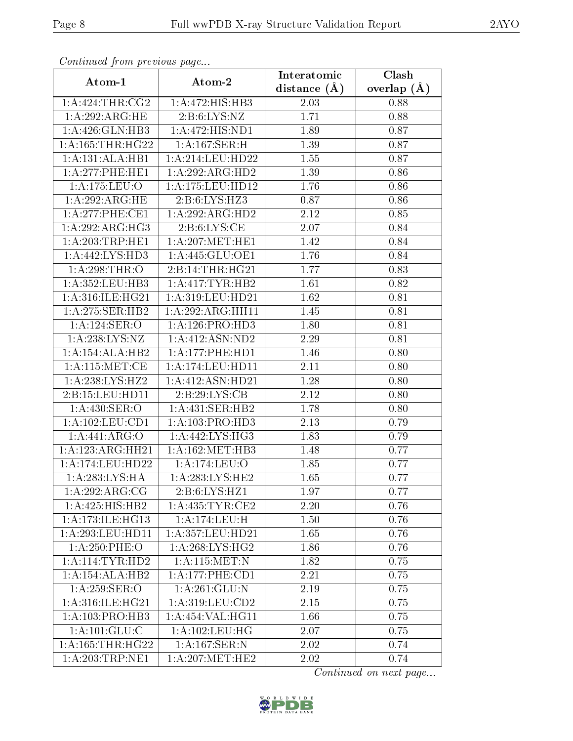| Communaca from previous page |                                               | Interatomic      | Clash         |
|------------------------------|-----------------------------------------------|------------------|---------------|
| Atom-1                       | Atom-2                                        | distance $(\AA)$ | overlap $(A)$ |
| 1: A:424:THR:CG2             | 1:A:472:HIS:HB3                               | 2.03             | 0.88          |
| $1:A:292:ARG:\overline{HE}$  | 2: B:6: LYS: NZ                               | 1.71             | 0.88          |
| 1: A:426: GLN:HB3            | 1:A:472:HIS:ND1                               | 1.89             | 0.87          |
| 1: A: 165: THR: HG22         | 1:A:167:SER:H                                 | 1.39             | 0.87          |
| 1:A:131:ALA:HB1              | 1:A:214:LEU:HD22                              | 1.55             | 0.87          |
| 1:A:277:PHE:HE1              | 1:A:292:ARG:HD2                               | 1.39             | 0.86          |
| 1:A:175:LEU:O                | 1:A:175:LEU:HD12                              | 1.76             | 0.86          |
| 1:A:292:ARG:HE               | 2:B:6:LYS:HZ3                                 | 0.87             | 0.86          |
| 1: A:277:PHE:CE1             | 1:A:292:ARG:HD2                               | 2.12             | 0.85          |
| 1:A:292:ARG:HG3              | 2: B:6: LYS: CE                               | 2.07             | 0.84          |
| 1: A:203:TRP:HE1             | 1: A:207: MET:HE1                             | 1.42             | 0.84          |
| 1:A:442:LYS:HD3              | 1: A:445: GLU:OE1                             | 1.76             | 0.84          |
| 1: A:298:THR:O               | 2:B:14:THR:HG21                               | 1.77             | 0.83          |
| 1: A: 352: LEU: HB3          | 1:A:417:TYR:HB2                               | 1.61             | 0.82          |
| 1: A:316: ILE: HG21          | 1:A:319:LEU:HD21                              | 1.62             | 0.81          |
| 1:A:275:SER:HB2              | 1:A:292:ARG:HH11                              | 1.45             | 0.81          |
| 1:A:124:SER:O                | 1: A: 126: PRO: HD3                           | 1.80             | 0.81          |
| $1:$ A:238:LYS:NZ            | 1:A:412:ASN:ND2                               | 2.29             | 0.81          |
| 1:A:154:ALA:HB2              | 1: A:177: PHE: HD1                            | 1.46             | 0.80          |
| 1: A:115: MET:CE             | 1:A:174:LEU:HD11                              | $2.11\,$         | 0.80          |
| 1: A:238: LYS: HZ2           | 1:A:412:ASN:HD21                              | 1.28             | 0.80          |
| 2:B:15:LEU:HDI1              | 2:B:29:LYS:CB                                 | 2.12             | 0.80          |
| 1:A:430:SER:O                | 1:A:431:SER:HB2                               | 1.78             | 0.80          |
| 1:A:102:LEU:CD1              | 1: A: 103: PRO: HD3                           | 2.13             | 0.79          |
| 1:A:441:ARG:O                | $1:A:442:LYS:H\overline{G3}$                  | 1.83             | 0.79          |
| 1:A:123:ARG:HH21             | 1: A:162:MET:HB3                              | 1.48             | 0.77          |
| 1: A:174:LEU:HD22            | 1:A:174:LEU:O                                 | 1.85             | 0.77          |
| 1:A:283:LYS:HA               | $1: A:283: \overline{\text{LYS}: \text{HE2}}$ | 1.65             | 0.77          |
| 1:A:292:ARG:CG               | 2:B:6:LYS:HZ1                                 | 1.97             | 0.77          |
| 1: A: 425: HIS: HB2          | 1: A: 435: TYR: CE2                           | 2.20             | 0.76          |
| 1: A:173: ILE: HGI3          | 1: A:174:LEU:H                                | 1.50             | 0.76          |
| 1: A:293:LEU:HD11            | 1:A:357:LEU:HD21                              | 1.65             | 0.76          |
| 1:A:250:PHE:O                | 1: A:268:LYS:HG2                              | 1.86             | 0.76          |
| 1: A:114:TYR:HD2             | 1:A:115:MET:N                                 | 1.82             | 0.75          |
| 1:A:154:ALA:HB2              | 1: A: 177: PHE: CD1                           | 2.21             | 0.75          |
| 1: A:259: SER:O              | $1:$ A:261:GLU:N                              | 2.19             | 0.75          |
| 1:A:316:ILE:HG21             | 1: A:319:LEU:CD2                              | 2.15             | 0.75          |
| 1: A:103: PRO:HB3            | 1:A:454:VAL:HG11                              | 1.66             | 0.75          |
| 1: A: 101: GLU: C            | 1: A: 102: LEU: HG                            | 2.07             | 0.75          |
| 1: A: 165: THR: HG22         | 1: A: 167: SER: N                             | 2.02             | 0.74          |
| 1: A:203:TRP:NE1             | 1: A:207: MET:HE2                             | 2.02             | 0.74          |

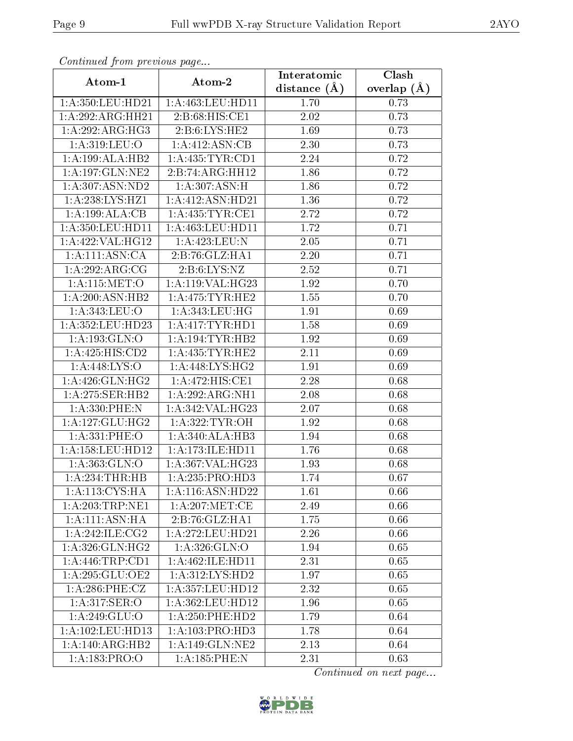| Communa from previous page |                                          | Interatomic      | $\overline{\text{Clash}}$ |
|----------------------------|------------------------------------------|------------------|---------------------------|
| Atom-1                     | Atom-2                                   | distance $(\AA)$ | overlap $(A)$             |
| 1:A:350:LEU:HD21           | 1:A:463:LEU:HD11                         | 1.70             | 0.73                      |
| 1:A:292:ARG:HH21           | 2:B:68:HIS:CE1                           | 2.02             | 0.73                      |
| 1:A:292:ARG:HG3            | 2: B: 6: LYS: HE2                        | 1.69             | 0.73                      |
| 1: A:319: LEU:O            | 1:A:412:ASN:CB                           | 2.30             | 0.73                      |
| 1:A:199:ALA:HB2            | 1:A:435:TYR:CD1                          | 2.24             | 0.72                      |
| 1: A: 197: GLN: NE2        | 2:B:74:ARG:HH12                          | 1.86             | 0.72                      |
| 1:A:307:ASN:ND2            | 1:A:307:ASN:H                            | 1.86             | 0.72                      |
| 1:A:238:LYS:HZ1            | 1:A:412:ASN:HD21                         | 1.36             | 0.72                      |
| 1:A:199:ALA:CB             | 1: A: 435: TYR: CE1                      | 2.72             | 0.72                      |
| 1: A:350: LEU: HD11        | 1: A: 463: LEU: HD11                     | 1.72             | 0.71                      |
| 1:A:422:VAL:HG12           | 1:A:423:LEU:N                            | 2.05             | 0.71                      |
| 1:A:111:ASN:CA             | 2:B:76:GLZ:HAI                           | 2.20             | 0.71                      |
| 1:A:292:ARG:CG             | 2: B:6: LYS: NZ                          | 2.52             | 0.71                      |
| 1: A:115: MET:O            | 1:A:119:VAL:HG23                         | 1.92             | 0.70                      |
| 1: A:200:ASN:HB2           | 1: A:475: TYR: HE2                       | 1.55             | 0.70                      |
| 1:A:343:LEU:O              | 1: A:343:LEU:HG                          | 1.91             | 0.69                      |
| 1:A:352:LEU:HD23           | 1:A:417:TYR:HD1                          | 1.58             | 0.69                      |
| 1: A: 193: GLN: O          | 1: A:194:TYR:HB2                         | 1.92             | 0.69                      |
| 1:A:425:HIS:CD2            | 1: A: 435: TYR: HE2                      | 2.11             | 0.69                      |
| 1:A:448:LYS:O              | 1: A:448: LYS: HG2                       | 1.91             | 0.69                      |
| 1: A:426: GLN: HG2         | 1:A:472:HIS:CE1                          | 2.28             | 0.68                      |
| 1:A:275:SER:HB2            | 1:A:292:ARG:NH1                          | 2.08             | 0.68                      |
| 1:A:330:PHE:N              | 1:A:342:VAL:HG23                         | 2.07             | 0.68                      |
| 1:A:127:GLU:HG2            | 1: A:322: TYR: OH                        | 1.92             | 0.68                      |
| 1:A:331:PHE:O              | 1:A:340:ALA:HB3                          | 1.94             | 0.68                      |
| 1:A:158:LEU:HD12           | 1: A:173: ILE: HD11                      | 1.76             | 0.68                      |
| 1: A: 363: GLN:O           | $1:\overline{A}:367:\overline{VAL}:HG23$ | 1.93             | 0.68                      |
| 1: A:234:THR:HB            | 1:A:235:PRO:HD3                          | 1.74             | 0.67                      |
| 1:A:113:CYS:HA             | 1:A:116:ASN:HD22                         | 1.61             | 0.66                      |
| 1: A:203:TRP:NE1           | 1: A:207: MET:CE                         | 2.49             | 0.66                      |
| 1: A:111: ASN: HA          | 2:B:76:GLZ:HA1                           | 1.75             | 0.66                      |
| 1: A:242: ILE: CG2         | 1:A:272:LEU:HD21                         | 2.26             | 0.66                      |
| 1:A:326:GLN:HG2            | 1: A:326: GLN:O                          | 1.94             | 0.65                      |
| 1: A:446:TRP:CD1           | 1:A:462:ILE:HD11                         | 2.31             | 0.65                      |
| 1:A:295:GLU:OE2            | 1: A:312: LYS: HD2                       | 1.97             | 0.65                      |
| $1: A:286:$ PHE:CZ         | 1:A:357:LEU:HD12                         | 2.32             | 0.65                      |
| 1: A:317: SER:O            | 1: A: 362: LEU: HD12                     | 1.96             | 0.65                      |
| 1:A:249:GLU:O              | $1: A:250:$ PHE:HD2                      | 1.79             | 0.64                      |
| 1: A:102: LEU: HD13        | 1: A: 103: PRO: HD3                      | 1.78             | 0.64                      |
| 1: A:140:ARG:HB2           | 1:A:149:GLN:NE2                          | 2.13             | 0.64                      |
| 1:A:183:PRO:O              | 1:A:185:PHE:N                            | 2.31             | 0.63                      |

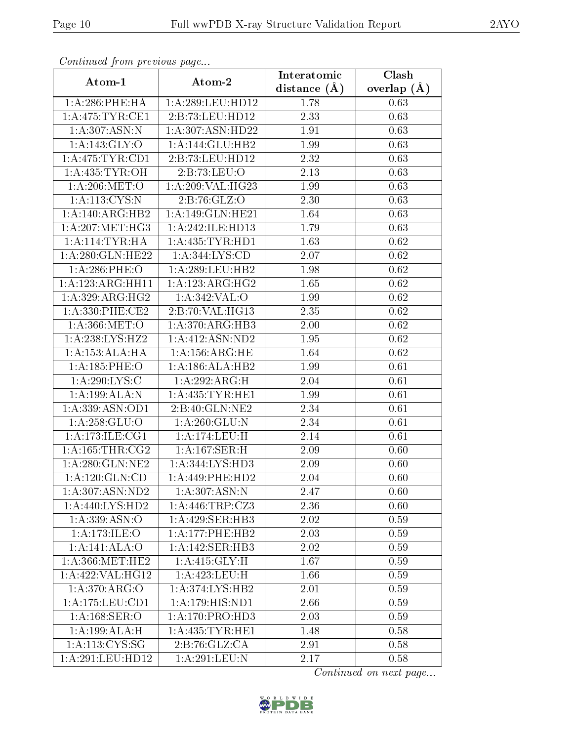| Commaca jibin previous page |                            | Interatomic       | Clash         |
|-----------------------------|----------------------------|-------------------|---------------|
| Atom-1                      | Atom-2                     | distance $(A)$    | overlap $(A)$ |
| $1: A:286:$ PHE:HA          | 1:A:289:LEU:HD12           | 1.78              | 0.63          |
| 1: A:475: TYR: CE1          | 2:B:73:LEU:HD12            | 2.33              | 0.63          |
| 1:A:307:ASN:N               | 1:A:307:ASN:HD22           | 1.91              | 0.63          |
| 1:A:143:GLY:O               | 1: A:144: GLU:HB2          | 1.99              | 0.63          |
| 1: A:475: TYR: CD1          | 2:B:73:LEU:HD12            | 2.32              | 0.63          |
| 1: A:435: TYR:OH            | 2:B:73:LEU:O               | 2.13              | 0.63          |
| 1: A:206: MET:O             | 1:A:209:VAL:HG23           | 1.99              | 0.63          |
| 1: A:113: CYS:N             | 2: B:76: GLZ:O             | 2.30              | 0.63          |
| 1: A:140:ARG:HB2            | 1:A:149:GLN:HE21           | 1.64              | 0.63          |
| 1: A:207: MET:HG3           | 1:A:242:ILE:HD13           | 1.79              | 0.63          |
| 1:A:114:TYR:HA              | 1: A: 435: TYR: HD1        | 1.63              | 0.62          |
| 1: A:280: GLN: HE22         | 1: A: 344: LYS: CD         | 2.07              | 0.62          |
| 1:A:286:PHE:O               | 1:A:289:LEU:HB2            | 1.98              | 0.62          |
| 1:A:123:ARG:HH11            | 1:A:123:ARG:HG2            | 1.65              | 0.62          |
| 1:A:329:ARG:HG2             | 1:A:342:VAL:O              | 1.99              | 0.62          |
| $1: A:330:$ PHE:CE2         | 2:B:70:VAL:HG13            | 2.35              | 0.62          |
| 1: A.366: MET:O             | 1:A:370:ARG:HB3            | 2.00              | 0.62          |
| 1:A:238:LYS:HZ2             | 1:A:412:ASN:ND2            | 1.95              | 0.62          |
| 1:A:153:ALA:HA              | 1: A: 156: ARG: HE         | 1.64              | 0.62          |
| 1: A: 185: PHE: O           | 1:A:186:ALA:HB2            | 1.99              | 0.61          |
| 1:A:290:LYS:C               | 1:A:292:ARG:H              | 2.04              | 0.61          |
| 1:A:199:ALA:N               | 1: A: 435: TYR: HE1        | 1.99              | 0.61          |
| 1:A:339:ASN:OD1             | 2:B:40:GLN:NE2             | 2.34              | 0.61          |
| 1:A:258:GLU:O               | $1:A:260:\overline{GLU:N}$ | 2.34              | 0.61          |
| 1: A:173: ILE: CG1          | 1:A:174:LEU:H              | $\overline{2.14}$ | 0.61          |
| 1: A: 165: THR: CG2         | 1:A:167:SER:H              | 2.09              | 0.60          |
| 1: A:280: GLN:NE2           | 1: A:344: LYS: HD3         | 2.09              | 0.60          |
| 1: A: 120: GLN: CD          | 1: A:449: PHE:HD2          | 2.04              | 0.60          |
| 1: A:307: ASN:ND2           | 1: A:307: ASN:N            | 2.47              | 0.60          |
| 1:A:440:LYS:HD2             | 1:A:446:TRP:CZ3            | 2.36              | 0.60          |
| $1:\overline{A:339:ASN:O}$  | 1:A:429:SER:HB3            | 2.02              | 0.59          |
| 1:A:173:ILE:O               | 1: A:177:PHE:HB2           | 2.03              | 0.59          |
| 1:A:141:ALA:O               | 1:A:142:SER:HB3            | 2.02              | 0.59          |
| 1: A:366:MET:HE2            | 1:A:415:GLY:H              | 1.67              | 0.59          |
| 1:A:422:VAL:HG12            | 1: A:423: LEU:H            | 1.66              | 0.59          |
| 1: A:370: ARG:O             | 1: A:374: LYS: HB2         | 2.01              | 0.59          |
| 1: A: 175: LEU: CD1         | 1:A:179:HIS:ND1            | 2.66              | 0.59          |
| 1: A: 168: SER: O           | 1:A:170:PRO:HD3            | 2.03              | 0.59          |
| 1:A:199:ALA:H               | 1: A: 435: TYR: HE1        | 1.48              | 0.58          |
| 1:A:113:CYS:SG              | 2:B:76:GLZ:CA              | 2.91              | 0.58          |
| 1:A:291:LEU:HD12            | 1: A:291:LEU: N            | 2.17              | 0.58          |

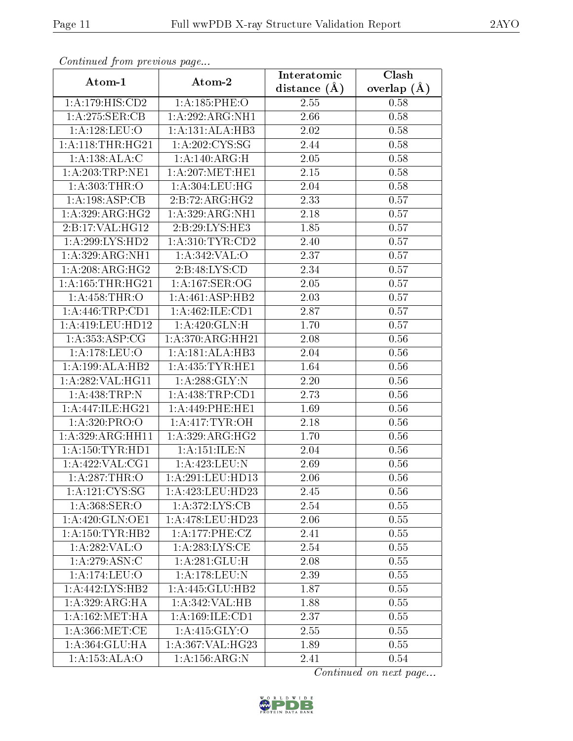| Continuea from previous page    |                     | Interatomic      | Clash         |
|---------------------------------|---------------------|------------------|---------------|
| Atom-1                          | Atom-2              | distance $(\AA)$ | overlap $(A)$ |
| 1:A:179:HIS:CD2                 | 1:A:185:PHE:O       | 2.55             | 0.58          |
| 1:A:275:SER:CB                  | 1:A:292:ARG:NH1     | 2.66             | 0.58          |
| 1:A:128:LEU:O                   | 1:A:131:ALA:HB3     | 2.02             | 0.58          |
| 1: A:118:THR:HG21               | 1:A:202:CYS:SG      | 2.44             | 0.58          |
| 1:A:138:ALA:C                   | 1:A:140:ARG:H       | $2.05\,$         | 0.58          |
| 1: A:203:TRP:NE1                | 1: A:207: MET:HE1   | 2.15             | 0.58          |
| 1: A:303:THR:O                  | 1: A: 304: LEU: HG  | $2.04\,$         | 0.58          |
| 1: A:198: ASP:CB                | 2:B:72:ARG:HG2      | 2.33             | 0.57          |
| 1:A:329:ARG:HG2                 | 1:A:329:ARG:NH1     | 2.18             | 0.57          |
| 2:B:17:VAL:HG12                 | 2:B:29:LYS:HE3      | 1.85             | 0.57          |
| 1:A:299:LYS:HD2                 | 1: A:310: TYR: CD2  | 2.40             | 0.57          |
| $1: A:329: ARG: \overline{NH1}$ | 1: A:342: VAL:O     | 2.37             | 0.57          |
| 1:A:208:ARG:HG2                 | 2:B:48:LYS:CD       | 2.34             | 0.57          |
| $1:$ A:165:THR:HG21             | 1: A:167: SER:OG    | 2.05             | 0.57          |
| 1:A:458:THR:O                   | 1:A:461:ASP:HB2     | 2.03             | 0.57          |
| 1: A:446:TRP:CD1                | 1: A:462: ILE: CD1  | 2.87             | 0.57          |
| 1:A:419:LEU:HD12                | 1:A:420:GLN:H       | 1.70             | 0.57          |
| 1: A: 353: ASP: CG              | 1: A:370:ARG:HH21   | 2.08             | $0.56\,$      |
| 1:A:178:LEU:O                   | 1:A:181:ALA:HB3     | 2.04             | 0.56          |
| 1:A:199:ALA:HB2                 | 1: A: 435: TYR: HE1 | 1.64             | 0.56          |
| 1:A:282:VAL:HG11                | 1: A:288: GLY:N     | 2.20             | 0.56          |
| 1:A:438:TRP:N                   | 1: A: 438: TRP: CD1 | 2.73             | 0.56          |
| 1: A:447: ILE: HG21             | 1:A:449:PHE:HE1     | 1.69             | 0.56          |
| 1: A:320: PRO:O                 | 1: A: 417: TYR: OH  | 2.18             | 0.56          |
| 1:A:329:ARG:HH11                | 1: A:329: ARG:HG2   | 1.70             | 0.56          |
| 1: A: 150: TYR: HD1             | 1:A:151:ILE:N       | 2.04             | 0.56          |
| 1: A:422: VAL:CG1               | 1:A:423:LEU:N       | 2.69             | 0.56          |
| 1: A:287:THR:O                  | 1:A:291:LEU:HD13    | 2.06             | 0.56          |
| 1:A:121:CYS:SG                  | 1:A:423:LEU:HD23    | 2.45             | 0.56          |
| 1: A: 368: SER: O               | 1: A:372: LYS: CB   | 2.54             | 0.55          |
| 1:A:420:GLN:OE1                 | 1:A:478:LEU:HD23    | 2.06             | 0.55          |
| 1: A: 150: TYR: HB2             | 1: A:177: PHE: CZ   | 2.41             | 0.55          |
| 1: A:282:VAL:O                  | 1: A:283:LYS:CE     | 2.54             | 0.55          |
| 1: A:279: ASN:C                 | 1:A:281:GLU:H       | 2.08             | 0.55          |
| 1:A:174:LEU:O                   | 1: A:178:LEU:N      | 2.39             | 0.55          |
| 1:A:442:LYS:HB2                 | 1:A:445:GLU:HB2     | 1.87             | 0.55          |
| 1: A:329: ARG: HA               | 1:A:342:VAL:HB      | 1.88             | 0.55          |
| 1: A: 162:MET:HA                | 1:A:169:ILE:CD1     | 2.37             | 0.55          |
| 1: A:366: MET:CE                | 1:A:415:GLY:O       | 2.55             | 0.55          |
| 1:A:364:GLU:HA                  | 1:A:367:VAL:HG23    | 1.89             | 0.55          |
| 1:A:153:ALA:O                   | 1: A: 156: ARG: N   | 2.41             | 0.54          |

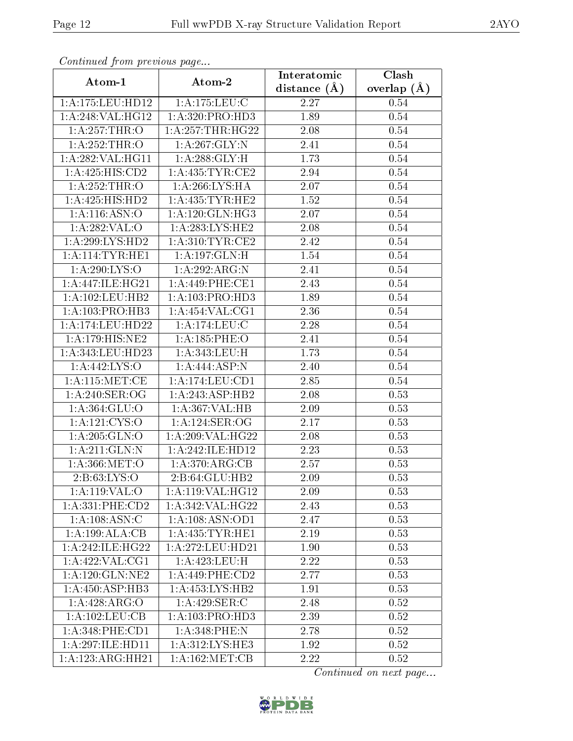| сонинией јтот ртеvиоиз раде |                                      | Interatomic    | Clash         |
|-----------------------------|--------------------------------------|----------------|---------------|
| Atom-1                      | Atom-2                               | distance $(A)$ | overlap $(A)$ |
| 1:A:175:LEU:HD12            | 1:A:175:LEU:C                        | 2.27           | 0.54          |
| 1:A:248:VAL:HG12            | 1:A:320:PRO:HD3                      | 1.89           | 0.54          |
| 1:A:257:THR:O               | 1: A: 257: THR: HG22                 | 2.08           | 0.54          |
| 1:A:252:THR:O               | 1: A:267: GLY:N                      | 2.41           | 0.54          |
| 1:A:282:VAL:HG11            | 1: A:288: GLY: H                     | 1.73           | 0.54          |
| 1:A:425:HIS:CD2             | 1:A:435:TYR:CE2                      | 2.94           | 0.54          |
| 1:A:252:THR:O               | 1:A:266:LYS:HA                       | 2.07           | 0.54          |
| 1:A:425:HIS:HD2             | 1: A: 435: TYR: HE2                  | 1.52           | $0.54\,$      |
| 1: A:116: ASN:O             | 1: A:120: GLN: HG3                   | 2.07           | 0.54          |
| 1:A:282:VAL:O               | 1: A:283: LYS: HE2                   | 2.08           | 0.54          |
| 1:A:299:LYS:HD2             | 1: A:310: TYR: CE2                   | 2.42           | 0.54          |
| 1:A:114:TYR:HE1             | 1:A:197:GLN:H                        | 1.54           | $0.54\,$      |
| 1:A:290:LYS:O               | 1:A:292:ARG:N                        | 2.41           | 0.54          |
| 1: A:447: ILE: HG21         | 1: A:449: PHE:CE1                    | 2.43           | 0.54          |
| 1: A: 102: LEU: HB2         | 1:A:103:PRO:H <sub>D3</sub>          | 1.89           | 0.54          |
| 1: A: 103: PRO: HB3         | 1: A:454:VAL:CG1                     | 2.36           | 0.54          |
| 1:A:174:LEU:HD22            | 1:A:174:LEU:C                        | 2.28           | $0.54\,$      |
| 1:A:179:HIS:NE2             | 1: A: 185: PHE: O                    | 2.41           | 0.54          |
| 1:A:343:LEU:HD23            | 1:A:343:LEU:H                        | 1.73           | $0.54\,$      |
| 1:A:442:LYS:O               | 1:A:444:ASP:N                        | 2.40           | 0.54          |
| 1: A:115: MET:CE            | 1:A:174:LEU:CD1                      | 2.85           | 0.54          |
| 1: A:240: SER:OG            | 1:A:243:ASP:HB2                      | 2.08           | 0.53          |
| 1:A:364:GLU:O               | 1:A:367:VAL:HB                       | 2.09           | 0.53          |
| 1: A: 121: CYS: O           | 1:A:124:SER:OG                       | 2.17           | 0.53          |
| 1: A:205: GLN:O             | 1:A:209:VAL:HG22                     | 2.08           | 0.53          |
| 1: A:211: GLN:N             | $1:A:242:\overline{\text{ILE:HD12}}$ | 2.23           | 0.53          |
| 1:A:366:MET:O               | 1: A:370:ARG:CB                      | 2.57           | 0.53          |
| 2:B:63:LYS:O                | 2:B:64:GLU:HB2                       | 2.09           | 0.53          |
| 1:A:119:VAL:O               | 1:A:119:VAL:HG12                     | 2.09           | 0.53          |
| 1:A:331:PHE:CD2             | 1: A:342: VAL:HG22                   | 2.43           | 0.53          |
| 1:A:108:ASN:C               | 1: A:108: ASN:OD1                    | 2.47           | 0.53          |
| 1:A:199:ALA:CB              | 1: A:435:TYR:HE1                     | 2.19           | 0.53          |
| 1: A:242: ILE: HG22         | 1:A:272:LEU:HD21                     | 1.90           | 0.53          |
| 1:A:422:VAL:CG1             | 1:A:423:LEU:H                        | 2.22           | 0.53          |
| 1: A: 120: GLN: NE2         | $1: A:449:$ PHE:CD2                  | 2.77           | 0.53          |
| 1:A:450:ASP:HB3             | 1: A: 453: LYS: HB2                  | 1.91           | 0.53          |
| 1:A:428:ARG:O               | 1: A:429: SER: C                     | 2.48           | 0.52          |
| 1: A: 102: LEU: CB          | 1: A: 103: PRO: HD3                  | 2.39           | 0.52          |
| 1:A:348:PHE:CD1             | 1:A:348:PHE:N                        | 2.78           | 0.52          |
| 1:A:297:ILE:HD11            | 1:A:312:LYS:HE3                      | 1.92           | 0.52          |
| 1:A:123:ARG:HH21            | 1: A: 162:MET:CB                     | 2.22           | 0.52          |

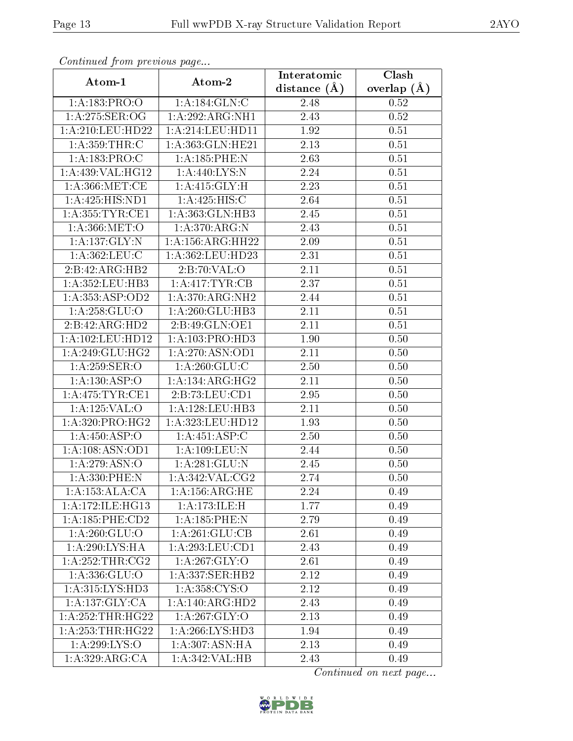| Communa from previous page          |                                      | Interatomic      | Clash         |
|-------------------------------------|--------------------------------------|------------------|---------------|
| Atom-1                              | Atom-2                               | distance $(\AA)$ | overlap $(A)$ |
| 1:A:183:PRO:O                       | 1: A: 184: GLN: C                    | 2.48             | 0.52          |
| 1: A:275: SER:OG                    | 1:A:292:ARG:NH1                      | 2.43             | 0.52          |
| 1: A:210:LEU:HD22                   | 1: A:214:LEU:HD11                    | 1.92             | 0.51          |
| 1: A: 359: THR: C                   | 1:A:363:GLN:HE21                     | 2.13             | 0.51          |
| 1:A:183:PRO:C                       | 1:A:185:PHE:N                        | 2.63             | 0.51          |
| 1:A:439:VAL:HG12                    | 1:A:440:LYS:N                        | 2.24             | 0.51          |
| 1: A:366: MET:CE                    | 1:A:415:GLY:H                        | 2.23             | 0.51          |
| 1:A:425:HIS:ND1                     | $1:A:425:HIS:\overline{C}$           | 2.64             | 0.51          |
| 1: A: 355: TYR: CE1                 | 1:A:363:GLN:HB3                      | 2.45             | 0.51          |
| 1: A:366:MET:O                      | 1:A:370:ARG:N                        | 2.43             | 0.51          |
| 1:A:137:GLY:N                       | 1:A:156:ARG:HH22                     | 2.09             | 0.51          |
| $1: A:362: \overline{\text{LEU:C}}$ | 1:A:362:LEU:HD23                     | 2.31             | 0.51          |
| 2:B:42:ARG:HB2                      | 2:B:70:VAL:O                         | 2.11             | 0.51          |
| 1: A: 352: LEU: HB3                 | $1: A:417: \overline{\text{TYR:CB}}$ | 2.37             | 0.51          |
| 1:A:353:ASP:OD2                     | 1: A:370:ARG:NH2                     | 2.44             | 0.51          |
| 1:A:258:GLU:O                       | 1:A:260:GLU:HB3                      | 2.11             | 0.51          |
| 2:B:42:ARG:HD2                      | 2:B:49:GLN:OE1                       | 2.11             | 0.51          |
| 1:A:102:LEU:HD12                    | 1:A:103:PRO:H <sub>D3</sub>          | 1.90             | 0.50          |
| 1: A:249: GLU:HG2                   | 1: A:270: ASN:OD1                    | 2.11             | 0.50          |
| 1: A:259: SER:O                     | 1: A:260: GLU: C                     | 2.50             | 0.50          |
| 1:A:130:ASP:O                       | 1: A:134: ARG:HG2                    | 2.11             | 0.50          |
| 1: A:475: TYR: CE1                  | 2:B:73:LEU:CD1                       | 2.95             | 0.50          |
| 1:A:125:VAL:O                       | 1:A:128:LEU:HB3                      | 2.11             | 0.50          |
| 1: A:320: PRO:HG2                   | $1:\overline{A:323}:\text{LEU:HD12}$ | 1.93             | 0.50          |
| 1: A:450: ASP:O                     | 1:A:451:ASP:C                        | 2.50             | 0.50          |
| 1:A:108:ASN:OD1                     | 1:A:109:LEU:N                        | 2.44             | 0.50          |
| 1:A:279:ASN:O                       | 1: A:281: GLU:N                      | 2.45             | 0.50          |
| 1: A: 330: PHE: N                   | 1: A:342: VAL: CG2                   | 2.74             | 0.50          |
| 1:A:153:ALA:CA                      | 1:A:156:ARG:HE                       | 2.24             | 0.49          |
| 1: A:172: ILE: HG13                 | 1:A:173:ILE:H                        | 1.77             | 0.49          |
| $1:A:185:PHE:$ CD2                  | $1:$ A:185:PHE:N                     | 2.79             | 0.49          |
| 1:A:260:GLU:O                       | 1: A:261: GLU:CB                     | 2.61             | 0.49          |
| 1:A:290:LYS:HA                      | 1: A:293:LEU:CD1                     | 2.43             | 0.49          |
| 1:A:252:THR:CG2                     | 1: A:267: GLY:O                      | 2.61             | 0.49          |
| 1:A:336:GLU:O                       | 1:A:337:SER:HB2                      | 2.12             | 0.49          |
| 1:A:315:LYS:HD3                     | 1: A: 358: CYS:O                     | 2.12             | 0.49          |
| 1: A: 137: GLY: CA                  | 1:A:140:ARG:HD2                      | 2.43             | 0.49          |
| 1:A:252:THR:HG22                    | 1:A:267:GLY:O                        | 2.13             | 0.49          |
| 1: A: 253: THR: HG22                | 1: A:266: LYS: HD3                   | 1.94             | 0.49          |
| 1:A:299:LYS:O                       | 1:A:307:ASN:HA                       | 2.13             | 0.49          |
| 1:A:329:ARG:CA                      | 1:A:342:VAL:HB                       | 2.43             | 0.49          |

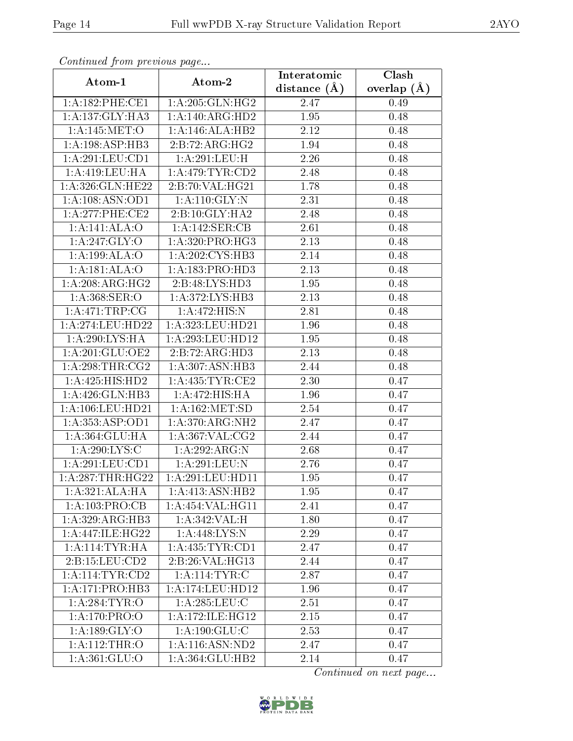| Commuca from previous page |                     | Interatomic       | Clash         |
|----------------------------|---------------------|-------------------|---------------|
| Atom-1                     | Atom-2              | distance $(A)$    | overlap $(A)$ |
| 1: A: 182: PHE: CE1        | 1:A:205:GLN:HG2     | 2.47              | 0.49          |
| 1:A:137:GLY:HA3            | 1:A:140:ARG:HD2     | 1.95              | 0.48          |
| 1:A:145:MET:O              | 1:A:146:ALA:HB2     | 2.12              | 0.48          |
| 1: A: 198: ASP: HB3        | 2:B:72:ARG:HG2      | 1.94              | 0.48          |
| 1:A:291:LEU:CD1            | 1:A:291:LEU:H       | 2.26              | 0.48          |
| 1: A:419: LEU: HA          | 1: A:479: TYR: CD2  | 2.48              | 0.48          |
| 1:A:326:GLN:HE22           | 2:B:70:VAL:HG21     | 1.78              | 0.48          |
| 1:A:108:ASN:OD1            | 1: A:110: GLY:N     | 2.31              | 0.48          |
| 1: A:277:PHE:CE2           | 2:B:10:GLY:HA2      | 2.48              | 0.48          |
| 1:A:141:ALA:O              | 1:A:142:SER:CB      | 2.61              | 0.48          |
| 1:A:247:GLY:O              | 1:A:320:PRO:HG3     | 2.13              | 0.48          |
| 1:A:199:ALA:O              | 1:A:202:CYS:HB3     | 2.14              | 0.48          |
| 1:A:181:ALA:O              | 1:A:183:PRO:HD3     | 2.13              | 0.48          |
| 1:A:208:ARG:HG2            | 2:B:48:LYS:HD3      | 1.95              | 0.48          |
| 1: A: 368: SER: O          | 1:A:372:LYS:HB3     | 2.13              | 0.48          |
| 1:A:471:TRP:CG             | 1:A:472:HIS:N       | 2.81              | 0.48          |
| 1:A:274:LEU:HD22           | 1:A:323:LEU:HD21    | 1.96              | 0.48          |
| 1:A:290:LYS:HA             | 1:A:293:LEU:HD12    | 1.95              | 0.48          |
| 1:A:201:GLU:OE2            | 2:B:72:ARG:HD3      | 2.13              | 0.48          |
| 1: A:298:THR:CG2           | 1:A:307:ASN:HB3     | 2.44              | 0.48          |
| 1:A:425:HIS:HD2            | 1: A: 435: TYR: CE2 | 2.30              | 0.47          |
| 1:A:426:GLN:HB3            | 1:A:472:HIS:HA      | 1.96              | 0.47          |
| 1: A:106:LEU:HD21          | 1: A: 162: MET: SD  | 2.54              | 0.47          |
| 1: A: 353: ASP: OD1        | 1: A:370:ARG:NH2    | 2.47              | 0.47          |
| 1:A:364:GLU:HA             | 1: A:367: VAL: CG2  | 2.44              | 0.47          |
| 1:A:290:LYS:C              | 1:A:292:ARG:N       | $\overline{2.68}$ | 0.47          |
| 1:A:291:LEU:CD1            | 1: A:291:LEU: N     | 2.76              | 0.47          |
| 1:A:287:THR:HG22           | 1:A:291:LEU:HD11    | 1.95              | 0.47          |
| 1:A:321:ALA:HA             | 1:A:413:ASN:HB2     | 1.95              | 0.47          |
| 1:A:103:PRO:CB             | 1:A:454:VAL:HG11    | 2.41              | 0.47          |
| 1:A:329:ARG:HB3            | 1:A:342:VAL:H       | 1.80              | 0.47          |
| 1:A:447:ILE:HG22           | 1:A:448:LYS:N       | 2.29              | 0.47          |
| 1: A:114:TYR:HA            | 1: A: 435: TYR: CD1 | 2.47              | 0.47          |
| 2: B: 15: LEU: CD2         | 2:B:26:VAL:HG13     | 2.44              | 0.47          |
| 1: A:114: TYR:CD2          | 1: A:114:TYR: C     | 2.87              | 0.47          |
| 1: A:171: PRO:HB3          | 1:A:174:LEU:HD12    | 1.96              | 0.47          |
| 1:A:284:TYR:O              | $1:$ A:285:LEU:C    | 2.51              | 0.47          |
| 1:A:170:PRO:O              | 1: A:172: ILE: HG12 | 2.15              | 0.47          |
| 1:A:189:GLY:O              | 1: A: 190: GLU: C   | 2.53              | 0.47          |
| 1:A:112:THR:O              | 1: A: 116: ASN: ND2 | 2.47              | 0.47          |
| 1:A:361:GLU:O              | 1:A:364:GLU:HB2     | 2.14              | 0.47          |

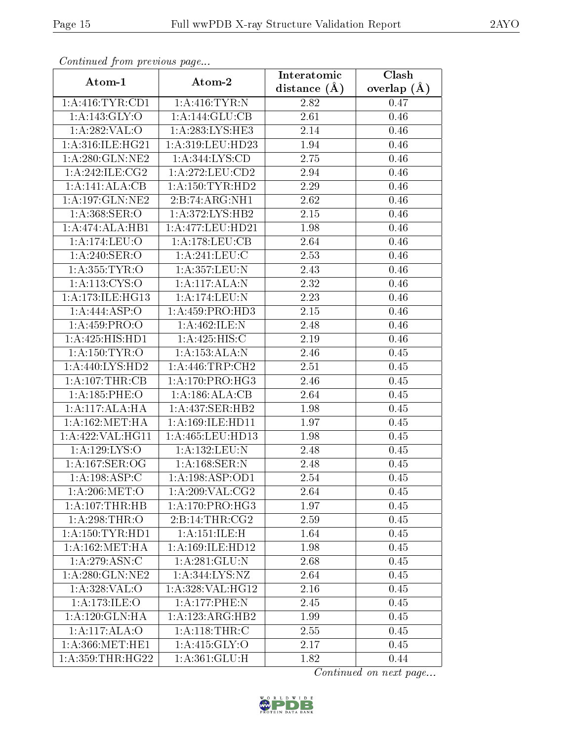| Communa from previous page |                                       | Interatomic    | $\overline{\text{Clash}}$ |
|----------------------------|---------------------------------------|----------------|---------------------------|
| Atom-1                     | Atom-2                                | distance $(A)$ | overlap $(\AA)$           |
| 1: A: 416: TYR: CD1        | 1: A:416: TYR: N                      | 2.82           | 0.47                      |
| 1:A:143:GLY:O              | 1:A:144:GLU:CB                        | 2.61           | 0.46                      |
| 1: A:282:VAL:O             | 1: A:283:LYS:HE3                      | 2.14           | 0.46                      |
| 1: A:316: ILE: HG21        | 1:A:319:LEU:HD23                      | 1.94           | 0.46                      |
| 1: A:280: GLN:NE2          | $1: A: 344: \overline{\text{LYS:CD}}$ | 2.75           | 0.46                      |
| 1: A:242: ILE: CG2         | 1: A:272:LEU:CD2                      | 2.94           | 0.46                      |
| 1:A:141:ALA:CB             | 1: A: 150: TYR: HD2                   | 2.29           | 0.46                      |
| 1: A: 197: GLN: NE2        | 2:B:74:ARG:NH1                        | 2.62           | 0.46                      |
| 1: A: 368: SER: O          | 1: A:372: LYS: HB2                    | 2.15           | 0.46                      |
| 1:A:474:ALA:HB1            | 1: A:477:LEU:HD21                     | 1.98           | 0.46                      |
| 1:A:174:LEU:O              | 1:A:178:LEU:CB                        | 2.64           | 0.46                      |
| 1: A:240: SER:O            | 1: A:241:LEU: C                       | 2.53           | 0.46                      |
| 1: A: 355: TYR: O          | 1:A:357:LEU:N                         | 2.43           | 0.46                      |
| 1: A: 113: CYS: O          | 1: A:117:ALA:N                        | 2.32           | 0.46                      |
| 1: A:173: ILE: HG13        | 1: A:174:LEU: N                       | 2.23           | 0.46                      |
| 1:A:444:ASP:O              | 1:A:459:PRO:HD3                       | 2.15           | 0.46                      |
| 1: A: 459: PRO: O          | 1:A:462:ILE:N                         | 2.48           | 0.46                      |
| 1:A:425:HIS:HD1            | 1:A:425:HIS:C                         | 2.19           | 0.46                      |
| 1:A:150:TYR:O              | 1:A:153:ALA:N                         | 2.46           | 0.45                      |
| 1: A:440: LYS: HD2         | 1: A:446:TRP:CH2                      | 2.51           | 0.45                      |
| 1:A:107:THR:CB             | $1:A:170:PRO:\overline{HG3}$          | 2.46           | 0.45                      |
| 1: A: 185: PHE: O          | 1:A:186:ALA:CB                        | 2.64           | 0.45                      |
| 1:A:117:ALA:HA             | 1:A:437:SER:HB2                       | 1.98           | 0.45                      |
| 1: A: 162: MET: HA         | 1: A: 169: ILE: HD11                  | 1.97           | 0.45                      |
| 1:A:422:VAL:HG11           | 1:A:465:LEU:HD13                      | 1.98           | 0.45                      |
| 1:A:129:LYS:O              | 1:A:132:LEU:N                         | 2.48           | 0.45                      |
| 1: A: 167: SER: OG         | 1: A:168: SER: N                      | 2.48           | 0.45                      |
| 1: A:198: ASP:C            | 1: A: 198: ASP: OD1                   | 2.54           | 0.45                      |
| 1: A:206: MET:O            | 1:A:209:VAL:CG2                       | 2.64           | 0.45                      |
| 1:A:107:THR:HB             | 1: A:170: PRO:HG3                     | 1.97           | 0.45                      |
| 1: A:298:THR:O             | 2:B:14:THR:CG2                        | 2.59           | 0.45                      |
| 1: A: 150: TYR: HD1        | 1: A:151: ILE:H                       | 1.64           | 0.45                      |
| 1: A: 162: MET: HA         | 1:A:169:ILE:HD12                      | 1.98           | 0.45                      |
| 1: A:279: ASN: C           | 1: A:281: GLU:N                       | 2.68           | 0.45                      |
| 1: A:280: GLN:NE2          | 1: A:344: LYS: NZ                     | 2.64           | 0.45                      |
| 1:A:328:VAL:O              | 1: A:328: VAL:HG12                    | 2.16           | 0.45                      |
| 1: A:173: ILE: O           | 1:A:177:PHE:N                         | 2.45           | 0.45                      |
| 1:A:120:GLN:HA             | 1:A:123:ARG:HB2                       | 1.99           | 0.45                      |
| 1:A:117:ALA:O              | 1: A:118:THR:C                        | 2.55           | 0.45                      |
| 1: A:366:MET:HE1           | 1:A:415:GLY:O                         | 2.17           | 0.45                      |
| 1: A: 359: THR: HG22       | 1: A:361: GLU:H                       | 1.82           | 0.44                      |

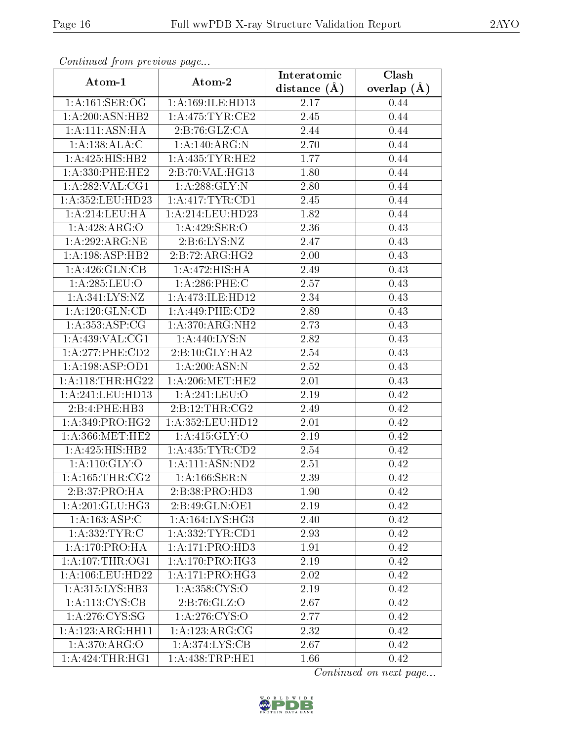| Continuea from previous page |                             | Interatomic    | Clash         |
|------------------------------|-----------------------------|----------------|---------------|
| Atom-1                       | Atom-2                      | distance $(A)$ | overlap $(A)$ |
| 1: A:161: SER:OG             | 1:A:169:ILE:HD13            | 2.17           | 0.44          |
| 1: A:200:ASN:HB2             | 1: A:475: TYR: CE2          | 2.45           | 0.44          |
| 1: A:111: ASN: HA            | 2:B:76:GLZ:CA               | 2.44           | 0.44          |
| 1:A:138:ALA:C                | 1:A:140:ARG:N               | 2.70           | 0.44          |
| 1: A: 425: HIS: HB2          | 1: A: 435: TYR: HE2         | 1.77           | 0.44          |
| $1: A:330:$ PHE:HE2          | 2:B:70:VAL:HG13             | 1.80           | 0.44          |
| 1:A:282:VAL:CG1              | 1: A:288: GLY:N             | 2.80           | 0.44          |
| 1: A:352:LEU:HD23            | 1:A:417:TYR:CD1             | 2.45           | 0.44          |
| 1: A:214:LEU:HA              | 1: A:214:LEU:HD23           | 1.82           | 0.44          |
| $1:A:428:\overline{ARG:O}$   | 1:A:429:SER:O               | 2.36           | 0.43          |
| 1:A:292:ARG:NE               | 2: B:6: LYS: NZ             | 2.47           | 0.43          |
| 1: A: 198: ASP: HB2          | $2:B:72:A\overline{RG:HG2}$ | 2.00           | 0.43          |
| 1:A:426:GLN:CB               | 1:A:472:HIS:HA              | 2.49           | 0.43          |
| 1: A:285:LEU:O               | 1:A:286:PHE:C               | 2.57           | 0.43          |
| 1:A:341:LYS:NZ               | 1:A:473:ILE:HD12            | 2.34           | 0.43          |
| 1: A: 120: GLN: CD           | $1: A:449:$ PHE:CD2         | 2.89           | 0.43          |
| 1: A: 353: ASP: CG           | 1:A:370:ARG:NH2             | 2.73           | 0.43          |
| 1: A:439: VAL: CG1           | 1:A:440:LYS:N               | 2.82           | 0.43          |
| 1:A:277:PHE:CD2              | 2:B:10:GLY:HA2              | 2.54           | 0.43          |
| 1:A:198:ASP:OD1              | 1: A:200:ASN:N              | 2.52           | 0.43          |
| 1: A:118:THR:HG22            | 1: A:206:MET:HE2            | 2.01           | 0.43          |
| 1: A:241:LEU:HD13            | 1:A:241:LEU:O               | 2.19           | 0.42          |
| 2:B:4:PHE:HB3                | 2:B:12:THR:CG2              | 2.49           | 0.42          |
| 1: A:349: PRO:HG2            | 1:A:352:LEU:HD12            | 2.01           | 0.42          |
| 1: A:366:MET:HE2             | 1:A:415:GLY:O               | 2.19           | 0.42          |
| 1: A: 425: HIS: HB2          | 1: A: 435: TYR: CD2         | 2.54           | 0.42          |
| 1:A:110:GLY:O                | 1:A:111:ASN:ND2             | 2.51           | 0.42          |
| 1: A: 165: THR: CG2          | 1: A: 166: SER: N           | 2.39           | 0.42          |
| 2:B:37:PRO:HA                | 2:B:38:PRO:HD3              | 1.90           | 0.42          |
| 1: A:201: GLU:HG3            | 2:B:49:GLN:OE1              | 2.19           | 0.42          |
| 1:A:163:ASP:C                | 1: A: 164: LYS: HG3         | 2.40           | 0.42          |
| 1:A:332:TYR:C                | 1: A: 332: TYR: CD1         | 2.93           | 0.42          |
| 1: A:170: PRO:HA             | 1:A:171:PRO:HD3             | 1.91           | 0.42          |
| 1: A:107:THR:OG1             | 1: A:170: PRO:HG3           | 2.19           | 0.42          |
| 1: A:106:LEU:HD22            | 1:A:171:PRO:HG3             | 2.02           | 0.42          |
| 1: A: 315: LYS: HB3          | 1: A: 358: CYS:O            | 2.19           | 0.42          |
| 1: A: 113: CYS: CB           | 2:B:76:GLZ:O                | 2.67           | 0.42          |
| 1: A:276:CYS:SG              | 1:A:276:CYS:O               | 2.77           | 0.42          |
| 1:A:123:ARG:HH11             | 1:A:123:ARG:CG              | 2.32           | 0.42          |
| 1:A:370:ARG:O                | 1: A:374: LYS: CB           | 2.67           | 0.42          |
| 1:A:424:THR:HGI              | 1: A:438:TRP:HE1            | 1.66           | 0.42          |

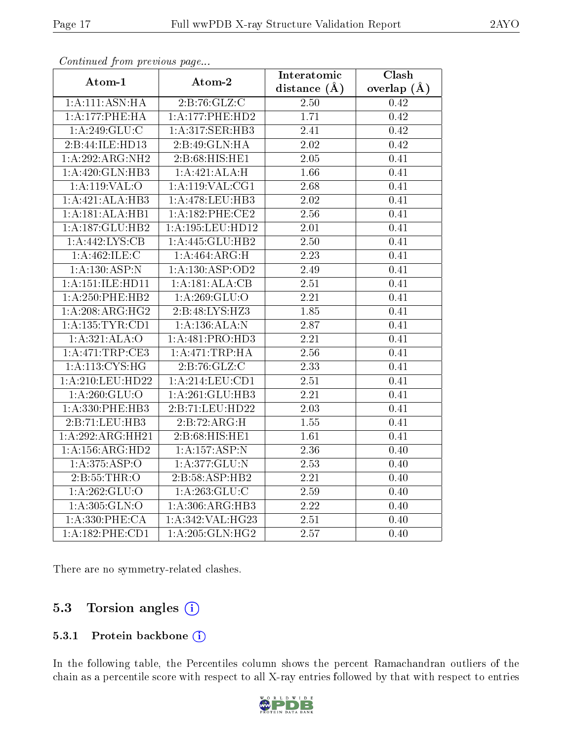| connanta promono ao pago<br>Atom-1 | Atom-2                              | Interatomic       | Clash             |
|------------------------------------|-------------------------------------|-------------------|-------------------|
|                                    |                                     | distance $(A)$    | overlap $(\AA)$   |
| 1:A:111:ASN:HA                     | 2:B:76:GLZ:C                        | 2.50              | 0.42              |
| 1:A:177:PHE:HA                     | 1:A:177:PHE:HD2                     | 1.71              | 0.42              |
| 1:A:249:GLU:C                      | 1:A:317:SER:HB3                     | 2.41              | 0.42              |
| 2:B:44:ILE:HD13                    | 2:B:49:GLN:HA                       | 2.02              | 0.42              |
| 1:A:292:ARG:NH2                    | 2:B:68:HIS:HE1                      | 2.05              | 0.41              |
| 1:A:420:GLN:HB3                    | 1:A:421:ALA:H                       | 1.66              | 0.41              |
| 1: A:119: VAL:O                    | $1:$ A:119:VAL:CG1                  | 2.68              | 0.41              |
| 1:A:421:ALA:HB3                    | $1:\overline{A}:478:\text{LEU}:HB3$ | 2.02              | 0.41              |
| 1:A:181:ALA:HB1                    | 1:A:182:PHE:CE2                     | 2.56              | 0.41              |
| 1:A:187:GLU:HB2                    | 1:A:195:LEU:HD12                    | 2.01              | 0.41              |
| 1:A:442:LYS:CB                     | 1:A:445:GLU:HB2                     | 2.50              | 0.41              |
| 1:A:462:ILE:C                      | 1:A:464:ARG:H                       | $\overline{2.23}$ | 0.41              |
| 1:A:130:ASP:N                      | 1:A:130:ASP:OD2                     | 2.49              | 0.41              |
| 1: A: 151: ILE: HD11               | 1:A:181:ALA:CB                      | 2.51              | 0.41              |
| $1: A:250:$ PHE:HB2                | 1: A:269: GLU:O                     | 2.21              | 0.41              |
| 1:A:208:ARG:HG2                    | 2:B:48:LYS:HZ3                      | 1.85              | 0.41              |
| 1: A: 135: TYR: CD1                | 1:A:136:ALA:N                       | 2.87              | 0.41              |
| 1:A:321:ALA:O                      | 1:A:481:PRO:HD3                     | 2.21              | 0.41              |
| 1:A:471:TRP:CE3                    | 1: A:471:TRP:HA                     | 2.56              | 0.41              |
| $1: A: \overline{113:CYS:HG}$      | 2:B:76:GLZ:C                        | $\overline{2.33}$ | 0.41              |
| 1:A:210:LEU:HD22                   | $1:$ A:214:LEU:CD1                  | $\overline{2.51}$ | $\overline{0.41}$ |
| 1: A:260: GLU:O                    | 1:A:261:GLU:HB3                     | 2.21              | 0.41              |
| 1:A:330:PHE:HB3                    | 2:B:71:LEU:HD22                     | 2.03              | 0.41              |
| 2:B:71:LEU:HB3                     | 2:B:72:ARG:H                        | $\overline{1.55}$ | 0.41              |
| 1:A:292:ARG:HH21                   | 2:B:68:HIS:HE1                      | 1.61              | 0.41              |
| 1: A: 156: ARG: HD2                | 1:A:157:ASP:N                       | 2.36              | 0.40              |
| $1: A:375: \overline{ASP:O}$       | 1:A:377:GLU:N                       | 2.53              | 0.40              |
| 2:B:55:THR:O                       | 2:B:58:ASP:HB2                      | 2.21              | 0.40              |
| 1: A:262: GLU:O                    | 1: A: 263: GLU: C                   | 2.59              | 0.40              |
| 1:A:305:GLN:O                      | 1:A:306:ARG:HB3                     | $2.22\,$          | 0.40              |
| 1: A: 330: PHE: CA                 | 1:A:342:VAL:HG23                    | 2.51              | 0.40              |
| 1:A:182:PHE:CD1                    | 1:A:205:GLN:HG2                     | 2.57              | 0.40              |

There are no symmetry-related clashes.

#### 5.3 Torsion angles  $(i)$

#### 5.3.1 Protein backbone (i)

In the following table, the Percentiles column shows the percent Ramachandran outliers of the chain as a percentile score with respect to all X-ray entries followed by that with respect to entries

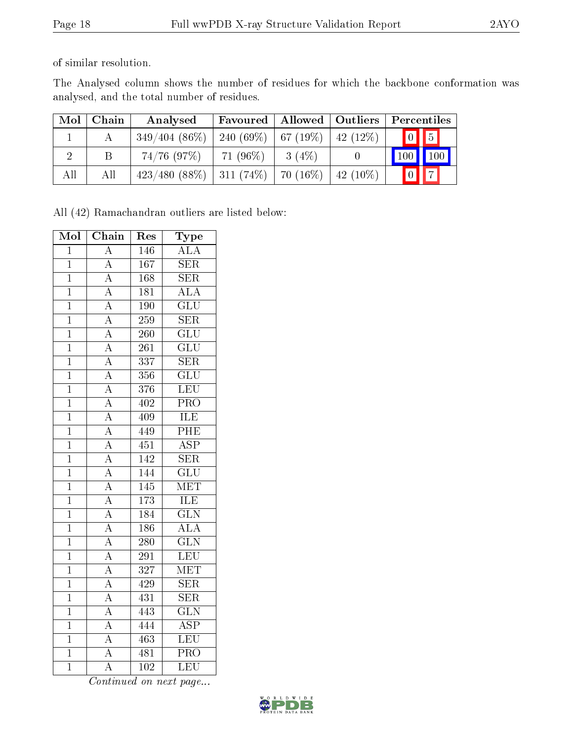of similar resolution.

The Analysed column shows the number of residues for which the backbone conformation was analysed, and the total number of residues.

| Mol | Chain | Analysed                                  | <b>Favoured</b> | $\mid$ Allowed $\mid$ Outliers |            | Percentiles                      |  |
|-----|-------|-------------------------------------------|-----------------|--------------------------------|------------|----------------------------------|--|
|     |       | $349/404(86\%)$   240 (69\%)   67 (19\%)  |                 |                                | $42(12\%)$ | $\prod_{i=1}^{n}$<br>$\boxed{0}$ |  |
|     |       | $74/76$ (97\%)                            | $71(96\%)$      | $3(4\%)$                       |            | $\mid$ 100 $\mid$ 100 $\mid$     |  |
| All | All   | $423/480$ (88\%)   311 (74\%)   70 (16\%) |                 |                                | $42(10\%)$ | $\sqrt{7}$<br>$\boxed{0}$        |  |

All (42) Ramachandran outliers are listed below:

| Mol            | Chain                               | Res              | Type                    |
|----------------|-------------------------------------|------------------|-------------------------|
| $\overline{1}$ | $\overline{\rm A}$                  | 146              | <b>ALA</b>              |
| $\overline{1}$ | $\overline{\rm A}$                  | 167              | <b>SER</b>              |
| $\overline{1}$ | $\overline{A}$                      | 168              | <b>SER</b>              |
| $\overline{1}$ | $\frac{\overline{A}}{A}$            | $\overline{181}$ | $\overline{\text{ALA}}$ |
| $\overline{1}$ |                                     | 190              | $\overline{\text{GLU}}$ |
| $\overline{1}$ | $\overline{\rm A}$                  | 259              | $\overline{\text{SER}}$ |
| $\overline{1}$ |                                     | 260              | $\overline{\text{GLU}}$ |
| $\overline{1}$ | $\frac{\overline{A}}{\overline{A}}$ | 261              | $\overline{\text{GLU}}$ |
| $\overline{1}$ | $\overline{A}$                      | 337              | $\overline{\text{SER}}$ |
| $\overline{1}$ | $\frac{\overline{A}}{\overline{A}}$ | 356              | $\overline{\text{GLU}}$ |
| $\overline{1}$ |                                     | 376              | LEU                     |
| $\overline{1}$ | $\overline{A}$                      | 402              | $\overline{\text{PRO}}$ |
| $\overline{1}$ | $\overline{A}$                      | 409              | <b>ILE</b>              |
| $\overline{1}$ | $\overline{A}$                      | 449              | PHE                     |
| $\mathbf 1$    | $\overline{A}$                      | 451              | $\overline{\text{ASP}}$ |
| $\overline{1}$ | $\frac{\overline{A}}{A}$            | 142              | $\overline{\text{SER}}$ |
| $\overline{1}$ |                                     | 144              | $\overline{\text{GLU}}$ |
| $\overline{1}$ | $\overline{A}$                      | 145              | $\overline{\text{MET}}$ |
| $\overline{1}$ | $\overline{A}$                      | 173              | ILE                     |
| $\overline{1}$ | $\overline{A}$                      | <u>184</u>       | $\overline{\text{GLN}}$ |
| $\mathbf 1$    | $\overline{A}$                      | 186              | $\overline{\text{ALA}}$ |
| $\overline{1}$ | $\frac{\overline{A}}{\overline{A}}$ | $\overline{280}$ | $\overline{\text{GLN}}$ |
| $\overline{1}$ |                                     | 291              | LEU                     |
| $\mathbf 1$    | $\overline{\rm A}$                  | 327              | $\overline{\text{MET}}$ |
| $\overline{1}$ | $\overline{A}$                      | 429              | $\overline{\text{SER}}$ |
| $\overline{1}$ | $\overline{A}$                      | 431              | $\overline{\text{SER}}$ |
| $\overline{1}$ | $\overline{A}$                      | 443              | $\overline{\text{GLN}}$ |
| $\overline{1}$ | $\overline{A}$                      | 444              | $\overline{\text{ASP}}$ |
| $\mathbf{1}$   | $\overline{A}$                      | 463              | LEU                     |
| $\overline{1}$ | $\overline{\rm A}$                  | 481              | $\overline{\text{PRO}}$ |
| $\overline{1}$ | $\overline{\rm A}$                  | $\overline{102}$ | LEU                     |

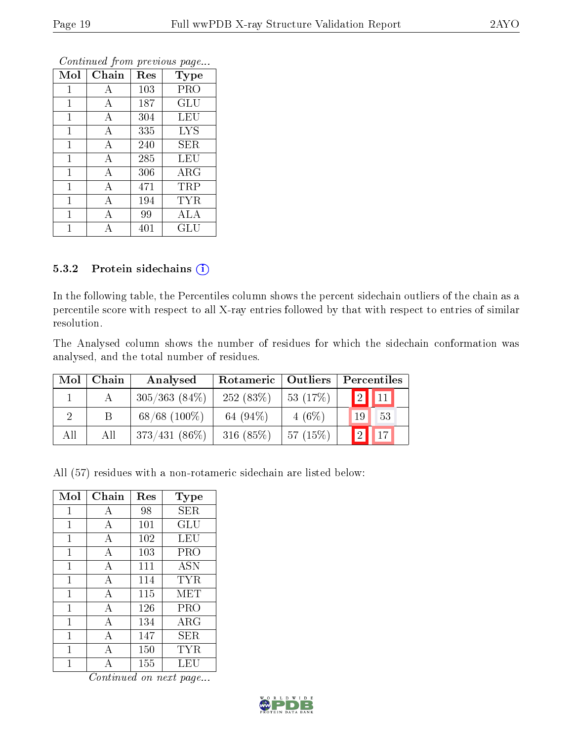| Mol          | Chain          | Res | <b>Type</b>          |
|--------------|----------------|-----|----------------------|
| 1            | А              | 103 | PRO                  |
| 1            | А              | 187 | GLU                  |
| $\mathbf{1}$ | А              | 304 | LEU                  |
| $\mathbf{1}$ | А              | 335 | <b>LYS</b>           |
| 1            | А              | 240 | SER                  |
| $\mathbf{1}$ | А              | 285 | LEU                  |
| $\mathbf 1$  | $\overline{A}$ | 306 | $\rm{ARG}$           |
| $\mathbf{1}$ | А              | 471 | TRP                  |
| $\mathbf{1}$ | А              | 194 | <b>TYR</b>           |
| 1            | А              | 99  | ALA                  |
|              |                | 401 | $\operatorname{GLU}$ |

#### 5.3.2 Protein sidechains (i)

In the following table, the Percentiles column shows the percent sidechain outliers of the chain as a percentile score with respect to all X-ray entries followed by that with respect to entries of similar resolution.

The Analysed column shows the number of residues for which the sidechain conformation was analysed, and the total number of residues.

| Mol | ${\bf Chain}$ | Analysed        | Rotameric   | Outliers | Percentiles                               |  |  |
|-----|---------------|-----------------|-------------|----------|-------------------------------------------|--|--|
|     |               | $305/363(84\%)$ | 252(83%)    | 53(17%)  | $\boxed{2}$<br>$\parallel$ 11 $\parallel$ |  |  |
|     |               | $68/68$ (100\%) | 64 $(94\%)$ | $4(6\%)$ | 53<br>19                                  |  |  |
| All | All           | $373/431(86\%)$ | $316(85\%)$ | 57(15%)  | $\overline{2}$<br>$\sqrt{17}$             |  |  |

All (57) residues with a non-rotameric sidechain are listed below:

| Mol          | Chain          | Res | Type       |
|--------------|----------------|-----|------------|
| 1            | А              | 98  | SER        |
| 1            | А              | 101 | GLU        |
| 1            | $\overline{A}$ | 102 | LEU        |
| $\mathbf{1}$ | $\overline{A}$ | 103 | PRO        |
| 1            | $\overline{A}$ | 111 | <b>ASN</b> |
| 1            | $\overline{A}$ | 114 | TYR        |
| 1            | $\overline{A}$ | 115 | MET        |
| 1            | А              | 126 | PRO        |
| 1            | $\overline{A}$ | 134 | ARG        |
| 1            | $\overline{A}$ | 147 | SER        |
| 1            | $\mathbf{A}$   | 150 | <b>TYR</b> |
| 1            | А              | 155 | LEU        |

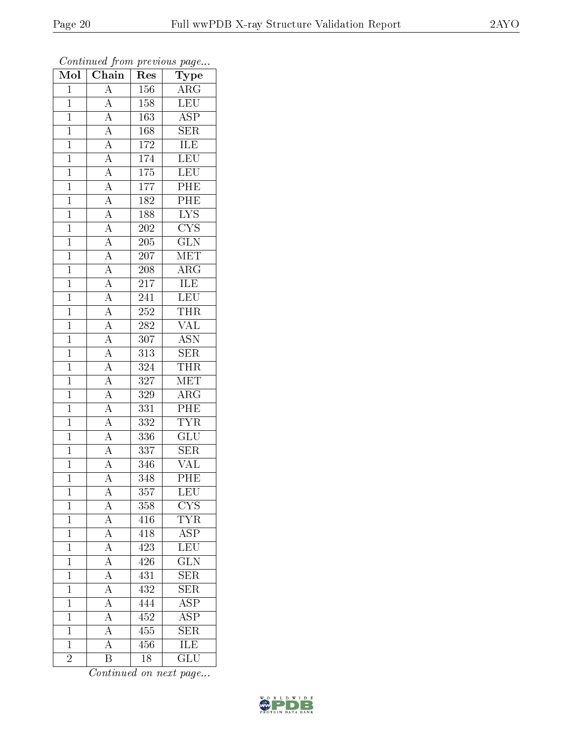| $\overline{\text{Mol}}$ | $\boldsymbol{\mathcal{L}}$<br>Chain                                                                                                                                                                                                                                                                                                          | Res              | $\mathbf{r}$<br>$\cdot$<br>Type |
|-------------------------|----------------------------------------------------------------------------------------------------------------------------------------------------------------------------------------------------------------------------------------------------------------------------------------------------------------------------------------------|------------------|---------------------------------|
| $\mathbf{1}$            | $\overline{A}$                                                                                                                                                                                                                                                                                                                               | 156              | $\overline{\text{ARG}}$         |
| $\overline{1}$          | $\overline{A}$                                                                                                                                                                                                                                                                                                                               | 158              | LEU                             |
| $\overline{1}$          | $\overline{A}$                                                                                                                                                                                                                                                                                                                               | 163              | $\overline{\rm ASP}$            |
| $\overline{1}$          | $\overline{A}$                                                                                                                                                                                                                                                                                                                               | 168              | $\overline{\text{SER}}$         |
| $\overline{1}$          | $\frac{\overline{A}}{\overline{A}}$                                                                                                                                                                                                                                                                                                          | 172              | <b>ILE</b>                      |
| $\overline{1}$          |                                                                                                                                                                                                                                                                                                                                              | 174              | LEU                             |
| $\overline{1}$          |                                                                                                                                                                                                                                                                                                                                              | 175              | LEU                             |
| $\mathbf{1}$            |                                                                                                                                                                                                                                                                                                                                              | 177              | $\overline{\rm{PHE}}$           |
| $\mathbf{1}$            |                                                                                                                                                                                                                                                                                                                                              | 182              | PHE                             |
| $\overline{1}$          |                                                                                                                                                                                                                                                                                                                                              | 188              | $\overline{\text{LYS}}$         |
| $\mathbf{1}$            |                                                                                                                                                                                                                                                                                                                                              | 202              | $\overline{\text{CYS}}$         |
| $\overline{1}$          |                                                                                                                                                                                                                                                                                                                                              | $205\,$          | $\overline{\text{GLN}}$         |
| $\overline{1}$          |                                                                                                                                                                                                                                                                                                                                              | 207              | $\overline{\text{MET}}$         |
| $\mathbf{1}$            | $\frac{\overline{A}}{\overline{A}}\frac{\overline{A}}{\overline{A}}\frac{\overline{A}}{\overline{A}}\frac{\overline{A}}{\overline{A}}\frac{\overline{A}}{\overline{A}}\frac{\overline{A}}{\overline{A}}\frac{\overline{A}}{\overline{A}}\frac{\overline{A}}{\overline{A}}\frac{\overline{A}}{\overline{A}}\frac{\overline{A}}{\overline{A}}$ | 208              | $\overline{\rm{ARG}}$           |
| $\mathbf{1}$            |                                                                                                                                                                                                                                                                                                                                              | 217              | <b>ILE</b>                      |
| $\overline{1}$          |                                                                                                                                                                                                                                                                                                                                              | 241              | <b>LEU</b>                      |
| $\overline{1}$          |                                                                                                                                                                                                                                                                                                                                              | $\overline{252}$ | <b>THR</b>                      |
| $\overline{1}$          |                                                                                                                                                                                                                                                                                                                                              | 282              | <b>VAL</b>                      |
| $\mathbf{1}$            |                                                                                                                                                                                                                                                                                                                                              | $\overline{307}$ | $\overline{\text{ASN}}$         |
| $\overline{1}$          |                                                                                                                                                                                                                                                                                                                                              | $\overline{313}$ | $\overline{\text{SER}}$         |
| $\mathbf{1}$            |                                                                                                                                                                                                                                                                                                                                              | 324              | <b>THR</b>                      |
| $\overline{1}$          |                                                                                                                                                                                                                                                                                                                                              | 327              | MET                             |
| $\mathbf{1}$            |                                                                                                                                                                                                                                                                                                                                              | 329              | $\overline{\rm ARG}$            |
| $\overline{1}$          |                                                                                                                                                                                                                                                                                                                                              | 331              | PHE                             |
| $\mathbf{1}$            |                                                                                                                                                                                                                                                                                                                                              | 332              | <b>TYR</b>                      |
| $\overline{1}$          | $\frac{\overline{A}}{\overline{A}}$                                                                                                                                                                                                                                                                                                          | 336              | $\overline{{\rm GLU}}$          |
| $\mathbf{1}$            |                                                                                                                                                                                                                                                                                                                                              | 337              | $\overline{\text{SER}}$         |
| $\mathbf{1}$            |                                                                                                                                                                                                                                                                                                                                              | 346              | <b>VAL</b>                      |
| $\overline{1}$          | $\overline{\rm A}$                                                                                                                                                                                                                                                                                                                           | 348              | PHE                             |
| $\mathbf 1$             | A                                                                                                                                                                                                                                                                                                                                            | 357              | <b>LEU</b>                      |
| $\mathbf{1}$            | $\boldsymbol{A}$                                                                                                                                                                                                                                                                                                                             | 358              | $\overline{\text{CYS}}$         |
| $\overline{1}$          | $\frac{\overline{A}}{\overline{A}}$ $\frac{\overline{A}}{\overline{A}}$                                                                                                                                                                                                                                                                      | 416              | $\overline{\text{TYR}}$         |
| $\mathbf{1}$            |                                                                                                                                                                                                                                                                                                                                              | 418              | <b>ASP</b>                      |
| $\overline{1}$          |                                                                                                                                                                                                                                                                                                                                              | 423              | $\overline{\text{LEU}}$         |
| $\mathbf 1$             |                                                                                                                                                                                                                                                                                                                                              | 426              | <b>GLN</b>                      |
| $\overline{1}$          | $\frac{\overline{A}}{\overline{A}}$                                                                                                                                                                                                                                                                                                          | 431              | $\overline{\text{SER}}$         |
| $\mathbf 1$             |                                                                                                                                                                                                                                                                                                                                              | 432              | $\overline{\text{SER}}$         |
| $\mathbf{1}$            |                                                                                                                                                                                                                                                                                                                                              | 444              | $\overline{\text{ASP}}$         |
| $\mathbf 1$             | $\overline{A}$                                                                                                                                                                                                                                                                                                                               | 452              | $\overline{\text{ASP}}$         |
| $\mathbf{1}$            | $\overline{A}$                                                                                                                                                                                                                                                                                                                               | 455              | $\overline{\text{SER}}$         |
| $\overline{1}$          | $\overline{\rm A}$                                                                                                                                                                                                                                                                                                                           | 456              | <b>ILE</b>                      |
| $\overline{2}$          | $\overline{\mathrm{B}}$                                                                                                                                                                                                                                                                                                                      | 18               | $\overline{{\rm GLU}}$          |

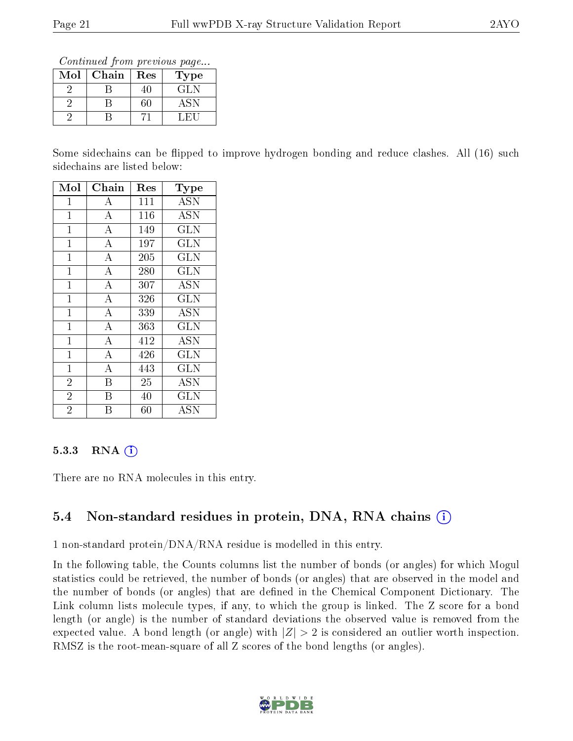Continued from previous page...

| Mol | Chain | Res | Type |
|-----|-------|-----|------|
|     |       |     | GLN  |
|     |       |     | ASN  |
|     |       |     |      |

Some sidechains can be flipped to improve hydrogen bonding and reduce clashes. All (16) such sidechains are listed below:

| Mol            | ${\rm Chain}$      | $\operatorname{Res}% \left( \mathcal{N}\right) \equiv\operatorname{Res}(\mathcal{N}_{0})\cap\mathcal{N}_{1}$ | Type       |
|----------------|--------------------|--------------------------------------------------------------------------------------------------------------|------------|
| 1              | A                  | 111                                                                                                          | <b>ASN</b> |
| 1              | $\boldsymbol{A}$   | 116                                                                                                          | <b>ASN</b> |
| $\mathbf{1}$   | $\overline{\rm A}$ | 149                                                                                                          | <b>GLN</b> |
| $\mathbf 1$    | $\overline{\rm A}$ | 197                                                                                                          | GLN        |
| $\mathbf{1}$   | $\overline{A}$     | 205                                                                                                          | <b>GLN</b> |
| $\overline{1}$ | $\overline{\rm A}$ | 280                                                                                                          | <b>GLN</b> |
| $\overline{1}$ | $\boldsymbol{A}$   | 307                                                                                                          | <b>ASN</b> |
| $\mathbf{1}$   | $\overline{\rm A}$ | 326                                                                                                          | <b>GLN</b> |
| $\mathbf 1$    | $\overline{\rm A}$ | 339                                                                                                          | <b>ASN</b> |
| $\mathbf{1}$   | $\overline{A}$     | 363                                                                                                          | <b>GLN</b> |
| $\overline{1}$ | $\overline{\rm A}$ | 412                                                                                                          | <b>ASN</b> |
| $\overline{1}$ | $\overline{A}$     | 426                                                                                                          | <b>GLN</b> |
| $\mathbf{1}$   | $\boldsymbol{A}$   | 443                                                                                                          | <b>GLN</b> |
| $\overline{2}$ | B                  | 25                                                                                                           | <b>ASN</b> |
| $\overline{2}$ | B                  | 40                                                                                                           | <b>GLN</b> |
| $\overline{2}$ | B                  | $60\,$                                                                                                       | ASN        |

#### 5.3.3 RNA  $(i)$

There are no RNA molecules in this entry.

### 5.4 Non-standard residues in protein, DNA, RNA chains (i)

1 non-standard protein/DNA/RNA residue is modelled in this entry.

In the following table, the Counts columns list the number of bonds (or angles) for which Mogul statistics could be retrieved, the number of bonds (or angles) that are observed in the model and the number of bonds (or angles) that are dened in the Chemical Component Dictionary. The Link column lists molecule types, if any, to which the group is linked. The Z score for a bond length (or angle) is the number of standard deviations the observed value is removed from the expected value. A bond length (or angle) with  $|Z| > 2$  is considered an outlier worth inspection. RMSZ is the root-mean-square of all Z scores of the bond lengths (or angles).

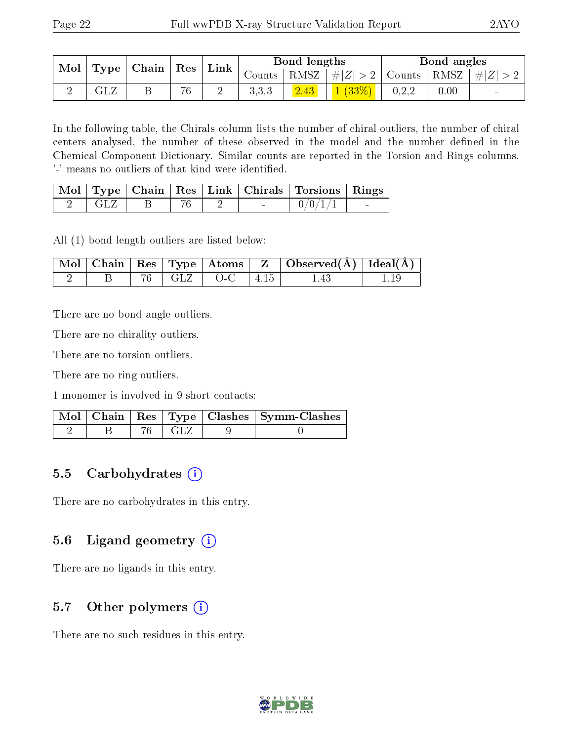|  | $\text{Mol}$<br>$\mid$ Chain $\mid$<br>$\Gamma$ Type | $\mid$ Res $\mid$ | Link |       | Bond lengths |                                          |       | Bond angles |                    |
|--|------------------------------------------------------|-------------------|------|-------|--------------|------------------------------------------|-------|-------------|--------------------|
|  |                                                      |                   |      |       |              | Counts   RMSZ $\mid \#  Z  > 2$   Counts |       |             | RMSZ   $\# Z  > 2$ |
|  | $\mathrm{GL}2$                                       | 76                | ↵    | 3,3,3 | 2.43         | 1(33%)                                   | 0,2,2 | 0.00        | $\blacksquare$     |

In the following table, the Chirals column lists the number of chiral outliers, the number of chiral centers analysed, the number of these observed in the model and the number defined in the Chemical Component Dictionary. Similar counts are reported in the Torsion and Rings columns. '-' means no outliers of that kind were identified.

|           |  |        | Mol   Type   Chain   Res   Link   Chirals   Torsions   Rings |  |
|-----------|--|--------|--------------------------------------------------------------|--|
| - ( 1 . 7 |  | $\sim$ | $-0/0/1/$ .                                                  |  |

All (1) bond length outliers are listed below:

|  |  |                                        | $\mid$ Mol $\mid$ Chain $\mid$ Res $\mid$ Type $\mid$ Atoms $\mid$ Z $\mid$ Observed(A) $\mid$ Ideal(A) $\mid$ |  |
|--|--|----------------------------------------|----------------------------------------------------------------------------------------------------------------|--|
|  |  | $\overline{B}$   76   GLZ   O-C   4.15 | $-1.43$                                                                                                        |  |

There are no bond angle outliers.

There are no chirality outliers.

There are no torsion outliers.

There are no ring outliers.

1 monomer is involved in 9 short contacts:

|  |          | Mol   Chain   Res   Type   Clashes   Symm-Clashes |
|--|----------|---------------------------------------------------|
|  | 76   GLZ |                                                   |

### 5.5 Carbohydrates  $(i)$

There are no carbohydrates in this entry.

### 5.6 Ligand geometry  $(i)$

There are no ligands in this entry.

### 5.7 [O](https://www.wwpdb.org/validation/2017/XrayValidationReportHelp#nonstandard_residues_and_ligands)ther polymers  $(i)$

There are no such residues in this entry.

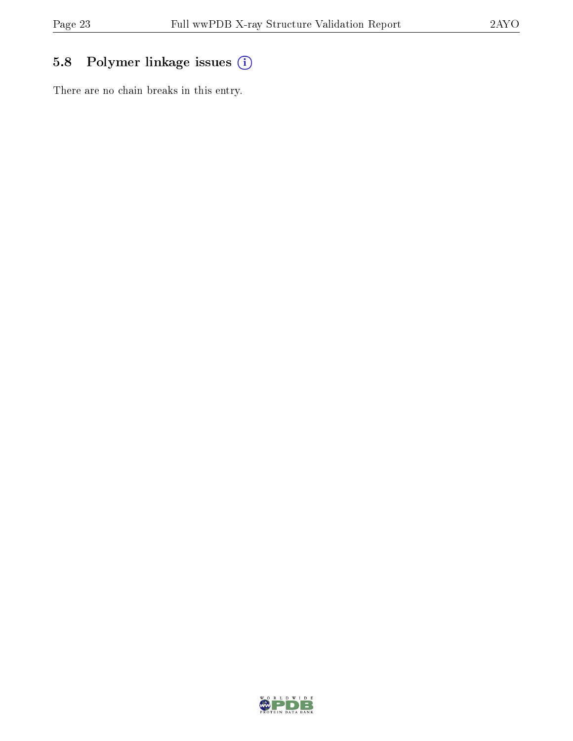## 5.8 Polymer linkage issues (i)

There are no chain breaks in this entry.